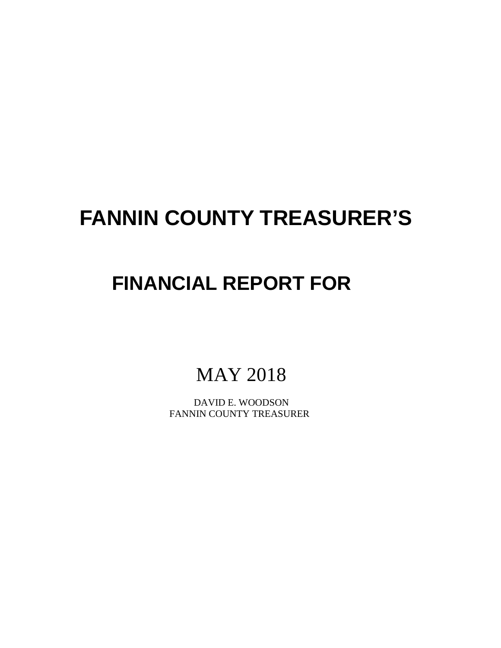# **FANNIN COUNTY TREASURER'S**

## **FINANCIAL REPORT FOR**

MAY 2018

 DAVID E. WOODSON FANNIN COUNTY TREASURER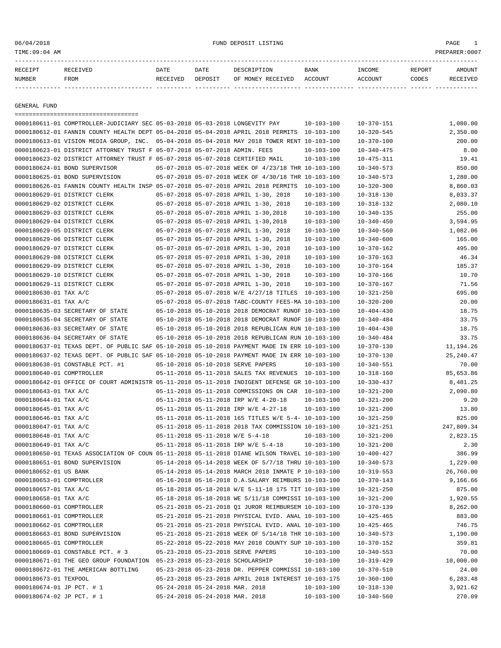TIME:09:04 AM PREPARER:0007

| RECEIPT       | <b>RECEIVED</b> | DATE     | DATE    | DESCRIPTION       | <b>BANK</b> | INCOME  | REPORT | AMOUNT   |
|---------------|-----------------|----------|---------|-------------------|-------------|---------|--------|----------|
| <b>NUMBER</b> | FROM            | RECEIVED | DEPOSIT | OF MONEY RECEIVED | ACCOUNT     | ACCOUNT | CODES  | RECEIVED |
|               |                 |          |         |                   |             |         |        |          |

GENERAL FUND

=================================== 0000180611-01 COMPTROLLER-JUDICIARY SEC 05-03-2018 05-03-2018 LONGEVITY PAY 10-103-100 10-370-151 1,080.00 0000180612-01 FANNIN COUNTY HEALTH DEPT 05-04-2018 05-04-2018 APRIL 2018 PERMITS 10-103-100 10-320-545 2,350.00 0000180613-01 VISION MEDIA GROUP, INC. 05-04-2018 05-04-2018 MAY 2018 TOWER RENT 10-103-100 10-370-100 200.00 0000180623-01 DISTRICT ATTORNEY TRUST F 05-07-2018 05-07-2018 ADMIN. FEES 10-103-100 10-340-475 8.00 0000180623-02 DISTRICT ATTORNEY TRUST F 05-07-2018 05-07-2018 CERTIFIED MAIL 10-103-100 10-475-311 19.41 0000180624-01 BOND SUPERVISOR 05-07-2018 05-07-2018 WEEK OF 4/23/18 THR 10-103-100 10-340-573 850.00 0000180625-01 BOND SUPERVISION 05-07-2018 05-07-2018 WEEK OF 4/30/18 THR 10-103-100 10-340-573 1,280.00 0000180626-01 FANNIN COUNTY HEALTH INSP 05-07-2018 05-07-2018 APRIL 2018 PERMITS 10-103-100 10-320-300 8,860.03 0000180629-01 DISTRICT CLERK 05-07-2018 05-07-2018 APRIL 1-30, 2018 10-103-100 10-318-130 8,033.37 0000180629-02 DISTRICT CLERK 05-07-2018 05-07-2018 APRIL 1-30, 2018 10-103-100 10-318-132 2,080.10 0000180629-03 DISTRICT CLERK 05-07-2018 05-07-2018 APRIL 1-30,2018 10-103-100 10-340-135 255.00 0000180629-04 DISTRICT CLERK 05-07-2018 05-07-2018 APRIL 1-30,2018 10-103-100 10-340-450 3,594.95 0000180629-05 DISTRICT CLERK 05-07-2018 05-07-2018 APRIL 1-30, 2018 10-103-100 10-340-560 1,082.06 0000180629-06 DISTRICT CLERK  $05-07-2018\ 05-07-2018\ 08-07-2018\ 08-07-2018\ 08-07-2018\ 08-010\ 08-010\ 08-010\ 08-010\ 08-010\ 08-010\ 08-010\ 08-010\ 08-010\ 08-010\ 08-010\ 08-010\ 08-010\ 08-010\ 08-010\ 08-010\ 08-0$ 0000180629-07 DISTRICT CLERK 05-07-2018 05-07-2018 APRIL 1-30, 2018 10-103-100 10-370-162 495.00 0000180629-08 DISTRICT CLERK 05-07-2018 05-07-2018 APRIL 1-30, 2018 10-103-100 10-370-163 46.34 0000180629-09 DISTRICT CLERK 05-07-2018 05-07-2018 APRIL 1-30, 2018 10-103-100 10-370-164 185.37 0000180629-10 DISTRICT CLERK 05-07-2018 05-07-2018 APRIL 1-30, 2018 10-103-100 10-370-166 10.70 0000180629-11 DISTRICT CLERK 05-07-2018 05-07-2018 APRIL 1-30, 2018 10-103-100 10-370-167 71.56 0000180630-01 TAX A/C 05-07-2018 05-07-2018 W/E 4/27/18 TITLES 10-103-100 10-321-250 695.00 0000180631-01 TAX A/C 05-07-2018 05-07-2018 TABC-COUNTY FEES-MA 10-103-100 10-320-200 20.00 0000180635-03 SECRETARY OF STATE 05-10-2018 05-10-2018 2018 DEMOCRAT RUNOF 10-103-100 10-404-430 18.75 0000180635-04 SECRETARY OF STATE 05-10-2018 05-10-2018 2018 DEMOCRAT RUNOF 10-103-100 10-340-484 33.75 0000180636-03 SECRETARY OF STATE 05-10-2018 05-10-2018 2018 REPUBLICAN RUN 10-103-100 10-404-430 18.75 0000180636-04 SECRETARY OF STATE 05-10-2018 05-10-2018 2018 REPUBLICAN RUN 10-103-100 10-340-484 33.75 0000180637-01 TEXAS DEPT. OF PUBLIC SAF 05-10-2018 05-10-2018 PAYMENT MADE IN ERR 10-103-100 10-370-130 11,194.26 0000180637-02 TEXAS DEPT. OF PUBLIC SAF 05-10-2018 05-10-2018 PAYMENT MADE IN ERR 10-103-100 10-370-130 25,240.47 0000180638-01 CONSTABLE PCT. #1 05-10-2018 05-10-2018 SERVE PAPERS 10-103-100 10-340-551 70.00 0000180640-01 COMPTROLLER 05-11-2018 05-11-2018 SALES TAX REVENUES 10-103-100 10-318-160 85,653.86 0000180642-01 OFFICE OF COURT ADMINISTR 05-11-2018 05-11-2018 INDIGENT DEFENSE GR 10-103-100 10-330-437 8,481.25 0000180643-01 TAX A/C 05-11-2018 05-11-2018 COMMISSIONS ON CAR 10-103-100 10-321-200 2,090.80 0000180644-01 TAX A/C 05-11-2018 05-11-2018 IRP W/E 4-20-18 10-103-100 10-321-200 9.20 0000180645-01 TAX A/C 05-11-2018 05-11-2018 IRP W/E 4-27-18 10-103-100 10-321-200 13.80 0000180646-01 TAX A/C 05-11-2018 05-11-2018 165 TITLES W/E 5-4- 10-103-100 10-321-250 825.00 0000180647-01 TAX A/C 05-11-2018 05-11-2018 2018 TAX COMMISSION 10-103-100 10-321-251 247,809.34 0000180648-01 TAX A/C 05-11-2018 05-11-2018 W/E 5-4-18 10-103-100 10-321-200 2,823.15 0000180649-01 TAX A/C 05-11-2018 05-11-2018 IRP W/E 5-4-18 10-103-100 10-321-200 2.30 0000180650-01 TEXAS ASSOCIATION OF COUN 05-11-2018 05-11-2018 DIANE WILSON TRAVEL 10-103-100 10-400-427 386.99 0000180651-01 BOND SUPERVISION 05-14-2018 05-14-2018 WEEK OF 5/7/18 THRU 10-103-100 10-340-573 1,229.00 0000180652-01 US BANK 05-14-2018 05-14-2018 MARCH 2018 INMATE P 10-103-100 10-319-553 26.760.00 0000180653-01 COMPTROLLER 05-16-2018 05-16-2018 D.A.SALARY REIMBURS 10-103-100 10-370-143 9,166.66 0000180657-01 TAX A/C 05-18-2018 05-18-2018 W/E 5-11-18 175 TIT 10-103-100 10-321-250 875.00 0000180658-01 TAX A/C 05-18-2018 05-18-2018 ME 5/11/18 COMMISSI 10-103-100 10-321-200 1,920.55 0000180660-01 COMPTROLLER 05-21-2018 05-21-2018 Q1 JUROR REIMBURSEM 10-103-100 10-370-139 8,262.00 0000180661-01 COMPTROLLER 05-21-2018 05-21-2018 PHYSICAL EVID. ANAL 10-103-100 10-425-465 883.00 0000180662-01 COMPTROLLER 05-21-2018 05-21-2018 PHYSICAL EVID. ANAL 10-103-100 10-425-465 746.75 0000180663-01 BOND SUPERVISION 05-21-2018 05-21-2018 WEEK OF 5/14/18 THR 10-103-100 10-340-573 1,190.00 0000180665-01 COMPTROLLER 05-22-2018 05-22-2018 MAY 2018 COUNTY SUP 10-103-100 10-370-152 359.81 0000180669-01 CONSTABLE PCT. # 3 05-23-2018 05-23-2018 SERVE PAPERS 10-103-100 10-340-553 70.00 0000180671-01 THE GEO GROUP FOUNDATION 05-23-2018 05-23-2018 SCHOLARSHIP 10-103-100 10-319-429 10,000.00 0000180672-01 THE AMERICAN BOTTLING 05-23-2018 05-23-2018 DR. PEPPER COMMISSI 10-103-100 10-370-510 24.00 0000180673-01 TEXPOOL 05-23-2018 05-23-2018 APRIL 2018 INTEREST 10-103-175 10-360-100 6,283.48 0000180674-01 JP PCT. # 1 05-24-2018 05-24-2018 MAR. 2018 10-103-100 10-318-130 3,921.62 0000180674-02 JP PCT. # 1 05-24-2018 05-24-2018 MAR. 2018 10-103-100 10-340-560 270.09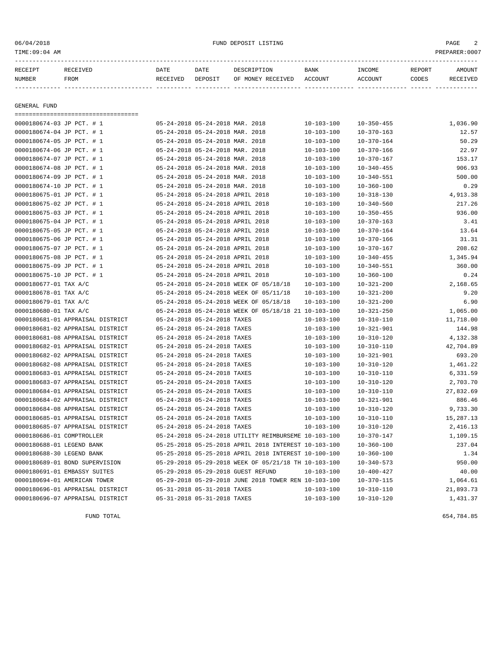### 06/04/2018 FUND DEPOSIT LISTING PAGE 2

| RECEIPT       | RECEIVED | DATE     | DATE    | DESCRIPTION               | BANK | INCOME  | REPORT | AMOUNT   |
|---------------|----------|----------|---------|---------------------------|------|---------|--------|----------|
| <b>NUMBER</b> | FROM     | RECEIVED | DEPOSIT | OF MONEY RECEIVED ACCOUNT |      | ACCOUNT | CODES  | RECEIVED |
|               |          |          |         |                           |      |         |        |          |
|               |          |          |         |                           |      |         |        |          |

GENERAL FUND

===================================

| 0000180674-03 JP PCT. # 1        |  | 05-24-2018 05-24-2018 MAR. 2018  |                                                      | $10 - 103 - 100$ | $10 - 350 - 455$ | 1,036.90  |
|----------------------------------|--|----------------------------------|------------------------------------------------------|------------------|------------------|-----------|
| 0000180674-04 JP PCT. # 1        |  | 05-24-2018 05-24-2018 MAR. 2018  |                                                      | $10 - 103 - 100$ | $10 - 370 - 163$ | 12.57     |
| 0000180674-05 JP PCT. # 1        |  | 05-24-2018 05-24-2018 MAR. 2018  |                                                      | $10 - 103 - 100$ | $10 - 370 - 164$ | 50.29     |
| 0000180674-06 JP PCT. # 1        |  | 05-24-2018 05-24-2018 MAR. 2018  |                                                      | $10 - 103 - 100$ | $10 - 370 - 166$ | 22.97     |
| 0000180674-07 JP PCT. # 1        |  | 05-24-2018 05-24-2018 MAR. 2018  |                                                      | $10 - 103 - 100$ | $10 - 370 - 167$ | 153.17    |
| 0000180674-08 JP PCT. # 1        |  | 05-24-2018 05-24-2018 MAR. 2018  |                                                      | $10 - 103 - 100$ | $10 - 340 - 455$ | 906.93    |
| 0000180674-09 JP PCT. # 1        |  | 05-24-2018 05-24-2018 MAR. 2018  |                                                      | $10 - 103 - 100$ | $10 - 340 - 551$ | 500.00    |
| 0000180674-10 JP PCT. # 1        |  | 05-24-2018 05-24-2018 MAR. 2018  |                                                      | $10 - 103 - 100$ | $10 - 360 - 100$ | 0.29      |
| 0000180675-01 JP PCT. # 1        |  | 05-24-2018 05-24-2018 APRIL 2018 |                                                      | $10 - 103 - 100$ | $10 - 318 - 130$ | 4,913.38  |
| 0000180675-02 JP PCT. # 1        |  | 05-24-2018 05-24-2018 APRIL 2018 |                                                      | $10 - 103 - 100$ | $10 - 340 - 560$ | 217.26    |
| 0000180675-03 JP PCT. # 1        |  | 05-24-2018 05-24-2018 APRIL 2018 |                                                      | $10 - 103 - 100$ | $10 - 350 - 455$ | 936.00    |
| 0000180675-04 JP PCT. # 1        |  | 05-24-2018 05-24-2018 APRIL 2018 |                                                      | $10 - 103 - 100$ | $10 - 370 - 163$ | 3.41      |
| 0000180675-05 JP PCT. # 1        |  | 05-24-2018 05-24-2018 APRIL 2018 |                                                      | $10 - 103 - 100$ | $10 - 370 - 164$ | 13.64     |
| 0000180675-06 JP PCT. # 1        |  | 05-24-2018 05-24-2018 APRIL 2018 |                                                      | $10 - 103 - 100$ | $10 - 370 - 166$ | 31.31     |
| 0000180675-07 JP PCT. # 1        |  | 05-24-2018 05-24-2018 APRIL 2018 |                                                      | $10 - 103 - 100$ | $10 - 370 - 167$ | 208.62    |
| 0000180675-08 JP PCT. # 1        |  | 05-24-2018 05-24-2018 APRIL 2018 |                                                      | $10 - 103 - 100$ | $10 - 340 - 455$ | 1,345.94  |
| 0000180675-09 JP PCT. # 1        |  | 05-24-2018 05-24-2018 APRIL 2018 |                                                      | $10 - 103 - 100$ | $10 - 340 - 551$ | 360.00    |
| 0000180675-10 JP PCT. # 1        |  | 05-24-2018 05-24-2018 APRIL 2018 |                                                      | $10 - 103 - 100$ | $10 - 360 - 100$ | 0.24      |
| 0000180677-01 TAX A/C            |  |                                  | 05-24-2018 05-24-2018 WEEK OF 05/18/18               | $10 - 103 - 100$ | $10 - 321 - 200$ | 2,168.65  |
| 0000180678-01 TAX A/C            |  |                                  | 05-24-2018 05-24-2018 WEEK OF 05/11/18               | $10 - 103 - 100$ | $10 - 321 - 200$ | 9.20      |
| 0000180679-01 TAX A/C            |  |                                  | 05-24-2018 05-24-2018 WEEK OF 05/18/18               | $10 - 103 - 100$ | $10 - 321 - 200$ | 6.90      |
| 0000180680-01 TAX A/C            |  |                                  | 05-24-2018 05-24-2018 WEEK OF 05/18/18 21 10-103-100 |                  | $10 - 321 - 250$ | 1,065.00  |
| 0000180681-01 APPRAISAL DISTRICT |  | 05-24-2018 05-24-2018 TAXES      |                                                      | $10 - 103 - 100$ | $10 - 310 - 110$ | 11,718.00 |
| 0000180681-02 APPRAISAL DISTRICT |  | 05-24-2018 05-24-2018 TAXES      |                                                      | $10 - 103 - 100$ | $10 - 321 - 901$ | 144.98    |
| 0000180681-08 APPRAISAL DISTRICT |  | 05-24-2018 05-24-2018 TAXES      |                                                      | $10 - 103 - 100$ | $10 - 310 - 120$ | 4,132.38  |
| 0000180682-01 APPRAISAL DISTRICT |  | 05-24-2018 05-24-2018 TAXES      |                                                      | $10 - 103 - 100$ | $10 - 310 - 110$ | 42,704.89 |
| 0000180682-02 APPRAISAL DISTRICT |  | 05-24-2018 05-24-2018 TAXES      |                                                      | $10 - 103 - 100$ | $10 - 321 - 901$ | 693.20    |
| 0000180682-08 APPRAISAL DISTRICT |  | 05-24-2018 05-24-2018 TAXES      |                                                      | $10 - 103 - 100$ | $10 - 310 - 120$ | 1,461.22  |
| 0000180683-01 APPRAISAL DISTRICT |  | 05-24-2018 05-24-2018 TAXES      |                                                      | $10 - 103 - 100$ | $10 - 310 - 110$ | 6,331.59  |
| 0000180683-07 APPRAISAL DISTRICT |  | 05-24-2018 05-24-2018 TAXES      |                                                      | $10 - 103 - 100$ | $10 - 310 - 120$ | 2,703.70  |
| 0000180684-01 APPRAISAL DISTRICT |  | 05-24-2018 05-24-2018 TAXES      |                                                      | $10 - 103 - 100$ | $10 - 310 - 110$ | 27,832.69 |
| 0000180684-02 APPRAISAL DISTRICT |  | 05-24-2018 05-24-2018 TAXES      |                                                      | $10 - 103 - 100$ | $10 - 321 - 901$ | 886.46    |
| 0000180684-08 APPRAISAL DISTRICT |  | 05-24-2018 05-24-2018 TAXES      |                                                      | $10 - 103 - 100$ | $10 - 310 - 120$ | 9,733.30  |
| 0000180685-01 APPRAISAL DISTRICT |  | 05-24-2018 05-24-2018 TAXES      |                                                      | $10 - 103 - 100$ | $10 - 310 - 110$ | 15,287.13 |
| 0000180685-07 APPRAISAL DISTRICT |  | 05-24-2018 05-24-2018 TAXES      |                                                      | $10 - 103 - 100$ | $10 - 310 - 120$ | 2,416.13  |
| 0000180686-01 COMPTROLLER        |  |                                  | 05-24-2018 05-24-2018 UTILITY REIMBURSEME 10-103-100 |                  | $10 - 370 - 147$ | 1,109.15  |
| 0000180688-01 LEGEND BANK        |  |                                  | 05-25-2018 05-25-2018 APRIL 2018 INTEREST 10-103-100 |                  | $10 - 360 - 100$ | 237.04    |
| 0000180688-30 LEGEND BANK        |  |                                  | 05-25-2018 05-25-2018 APRIL 2018 INTEREST 10-100-100 |                  | $10 - 360 - 100$ | 1.34      |
| 0000180689-01 BOND SUPERVISION   |  |                                  | 05-29-2018 05-29-2018 WEEK OF 05/21/18 TH 10-103-100 |                  | $10 - 340 - 573$ | 950.00    |
| 0000180691-01 EMBASSY SUITES     |  |                                  | 05-29-2018 05-29-2018 GUEST REFUND                   | $10 - 103 - 100$ | $10 - 400 - 427$ | 40.00     |
| 0000180694-01 AMERICAN TOWER     |  |                                  | 05-29-2018 05-29-2018 JUNE 2018 TOWER REN 10-103-100 |                  | $10 - 370 - 115$ | 1,064.61  |
| 0000180696-01 APPRAISAL DISTRICT |  | 05-31-2018 05-31-2018 TAXES      |                                                      | $10 - 103 - 100$ | $10 - 310 - 110$ | 21,893.73 |
| 0000180696-07 APPRAISAL DISTRICT |  | 05-31-2018 05-31-2018 TAXES      |                                                      | $10 - 103 - 100$ | $10 - 310 - 120$ | 1,431.37  |
|                                  |  |                                  |                                                      |                  |                  |           |

FUND TOTAL 654,784.85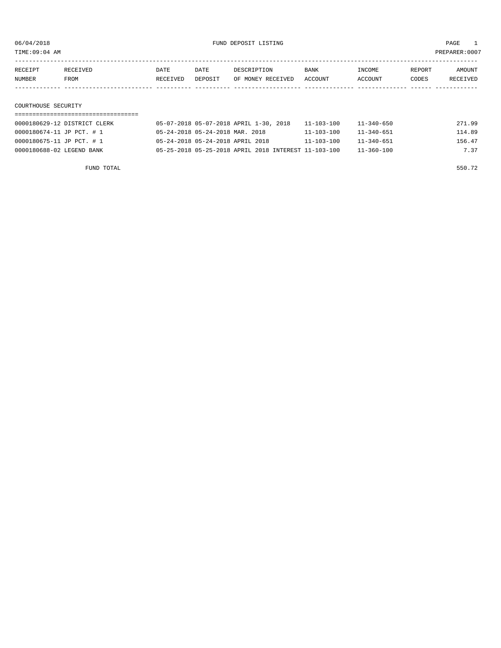| $\lambda$ $\mathbf{M}$<br>TIME: 09:04 |  |      |      |  |             |     |        | $. : 000+$ |
|---------------------------------------|--|------|------|--|-------------|-----|--------|------------|
|                                       |  | DATE | DATE |  | <b>BANK</b> | ™∩' | דים המ | AMOUNT     |

| RECEIPT | <b>RECEIVED</b> | DATE     | DATE    | DESCRIPTION       | <b>BANK</b> | NCOME <sup>1</sup> | <b>REPORT</b> | AMOUNT          |
|---------|-----------------|----------|---------|-------------------|-------------|--------------------|---------------|-----------------|
| NUMBER  | <b>FROM</b>     | RECEIVED | DEPOSIT | OF MONEY RECEIVED | ACCOUNT     | <b>ACCOUNT</b>     | CODES         | <b>RECEIVED</b> |
|         |                 |          |         |                   |             |                    |               |                 |

#### COURTHOUSE SECURITY

| 0000180629-12 DISTRICT CLERK | 05-07-2018 05-07-2018 APRIL 1-30, 2018               | 11-103-100       | 11-340-650       | 271.99 |
|------------------------------|------------------------------------------------------|------------------|------------------|--------|
| 0000180674-11 JP PCT. # 1    | 05-24-2018 05-24-2018 MAR. 2018                      | 11-103-100       | $11 - 340 - 651$ | 114.89 |
| 0000180675-11 JP PCT. # 1    | 05-24-2018 05-24-2018 APRIL 2018                     | $11 - 103 - 100$ | $11 - 340 - 651$ | 156.47 |
| 0000180688-02 LEGEND BANK    | 05-25-2018 05-25-2018 APRIL 2018 INTEREST 11-103-100 |                  | $11 - 360 - 100$ | 7.37   |

FUND TOTAL 550.72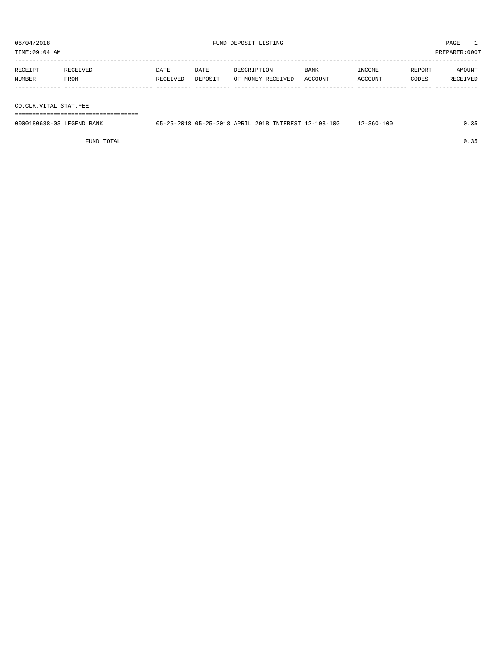TIME:09:04 AM PREPARER:0007 ----------------------------------------------------------------------------------------------------------------------------------- RECEIPT RECEIVED DATE DATE DESCRIPTION BANK INCOME REPORT AMOUNT

| NUMBER                | FROM | RECEIVED | DEPOSIT OF MONEY RECEIVED ACCOUNT |  |  | ACCOUNT | CODES | RECEIVED |
|-----------------------|------|----------|-----------------------------------|--|--|---------|-------|----------|
|                       |      |          |                                   |  |  |         |       |          |
|                       |      |          |                                   |  |  |         |       |          |
|                       |      |          |                                   |  |  |         |       |          |
| CO.CLK.VITAL STAT.FEE |      |          |                                   |  |  |         |       |          |
|                       |      |          |                                   |  |  |         |       |          |
|                       |      |          |                                   |  |  |         |       |          |

| 0000180688-03 LEGEND BANK | 05-25-2018 05-25-2018 APRIL 2018 INTEREST 12-103-100 |  | $12 - 360 - 100$ |  |
|---------------------------|------------------------------------------------------|--|------------------|--|
|                           |                                                      |  |                  |  |

FUND TOTAL  $0.35$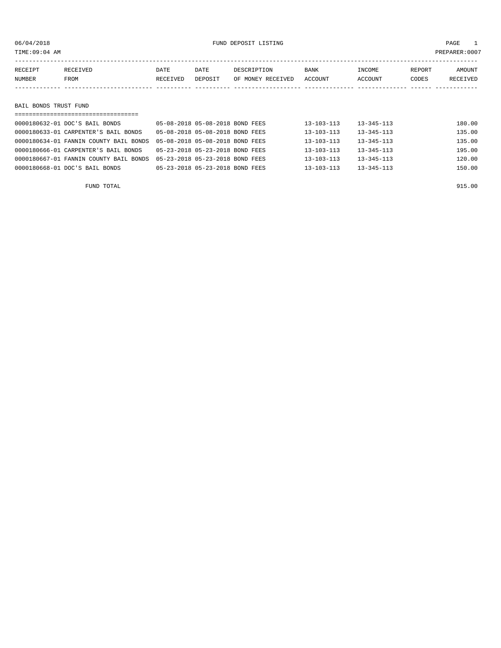### 06/04/2018 FUND DEPOSIT LISTING PAGE 1

| RECEIPT | RECEIVED              | DATE     | DATE    | DESCRIPTION       | BANK    | INCOME  | REPORT | AMOUNT   |  |  |
|---------|-----------------------|----------|---------|-------------------|---------|---------|--------|----------|--|--|
| NUMBER  | FROM                  | RECEIVED | DEPOSIT | OF MONEY RECEIVED | ACCOUNT | ACCOUNT | CODES  | RECEIVED |  |  |
|         |                       |          |         |                   |         |         |        |          |  |  |
|         |                       |          |         |                   |         |         |        |          |  |  |
|         | BAIL BONDS TRUST FUND |          |         |                   |         |         |        |          |  |  |
|         |                       |          |         |                   |         |         |        |          |  |  |

| 0000180632-01 DOC'S BAIL BONDS         | 05-08-2018 05-08-2018 BOND FEES | $13 - 103 - 113$ | 13-345-113       | 180.00 |
|----------------------------------------|---------------------------------|------------------|------------------|--------|
| 0000180633-01 CARPENTER'S BAIL BONDS   | 05-08-2018 05-08-2018 BOND FEES | $13 - 103 - 113$ | $13 - 345 - 113$ | 135.00 |
| 0000180634-01 FANNIN COUNTY BAIL BONDS | 05-08-2018 05-08-2018 BOND FEES | $13 - 103 - 113$ | $13 - 345 - 113$ | 135.00 |
| 0000180666-01 CARPENTER'S BAIL BONDS   | 05-23-2018 05-23-2018 BOND FEES | $13 - 103 - 113$ | $13 - 345 - 113$ | 195.00 |
| 0000180667-01 FANNIN COUNTY BAIL BONDS | 05-23-2018 05-23-2018 BOND FEES | $13 - 103 - 113$ | $13 - 345 - 113$ | 120.00 |
| 0000180668-01 DOC'S BAIL BONDS         | 05-23-2018 05-23-2018 BOND FEES | $13 - 103 - 113$ | $13 - 345 - 113$ | 150.00 |
|                                        |                                 |                  |                  |        |

FUND TOTAL 915.00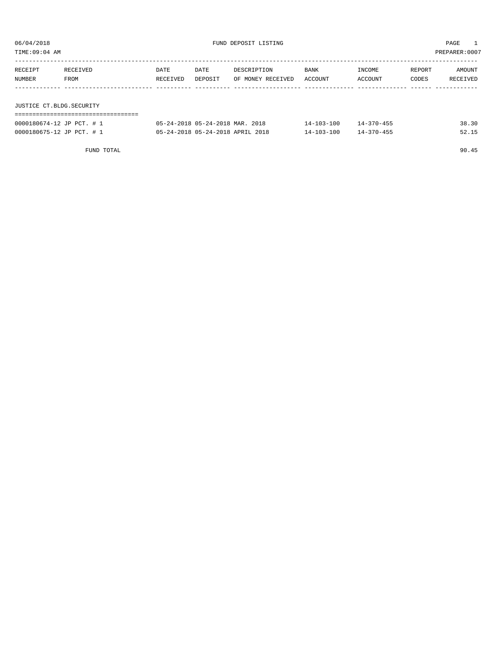TIME:09:04 AM PREPARER:0007

| RECEIPT                  | RECEIVED | DATE     | DATE    | DESCRIPTION       | <b>BANK</b> | INCOME  | REPORT | AMOUNT   |
|--------------------------|----------|----------|---------|-------------------|-------------|---------|--------|----------|
| NUMBER                   | FROM     | RECEIVED | DEPOSIT | OF MONEY RECEIVED | ACCOUNT     | ACCOUNT | CODES  | RECEIVED |
|                          |          |          |         |                   |             |         |        |          |
|                          |          |          |         |                   |             |         |        |          |
| JUSTICE CT.BLDG.SECURITY |          |          |         |                   |             |         |        |          |

### ===================================

| 0000180674-12 JP PCT. # 1 | 05-24-2018 05-24-2018 MAR. 2018  | $14 - 103 - 100$ | $14 - 370 - 455$ | 38.30 |
|---------------------------|----------------------------------|------------------|------------------|-------|
| 0000180675-12 JP PCT. # 1 | 05-24-2018 05-24-2018 APRIL 2018 | $14 - 103 - 100$ | $14 - 370 - 455$ |       |

FUND TOTAL 90.45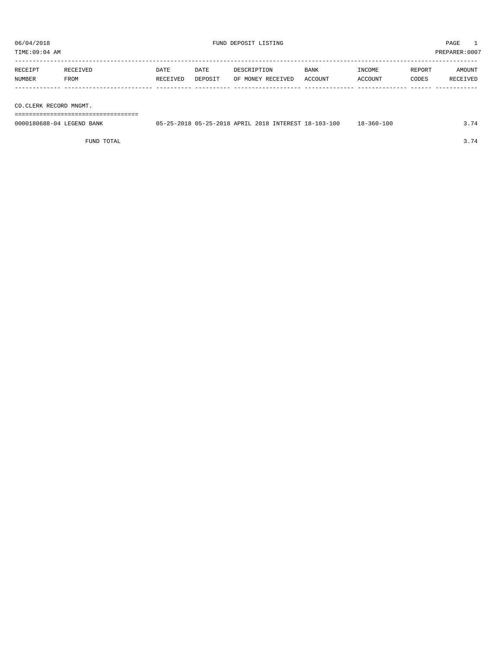| PREPARER:0007<br>TIME:09:04 AM                                                                                                                                                                                                                                                                                                                                                 |                  |                  |                 |                                  |                 |                   |                 |                    |
|--------------------------------------------------------------------------------------------------------------------------------------------------------------------------------------------------------------------------------------------------------------------------------------------------------------------------------------------------------------------------------|------------------|------------------|-----------------|----------------------------------|-----------------|-------------------|-----------------|--------------------|
| RECEIPT<br>NUMBER                                                                                                                                                                                                                                                                                                                                                              | RECEIVED<br>FROM | DATE<br>RECEIVED | DATE<br>DEPOSIT | DESCRIPTION<br>OF MONEY RECEIVED | BANK<br>ACCOUNT | INCOME<br>ACCOUNT | REPORT<br>CODES | AMOUNT<br>RECEIVED |
| $20.25$ $\overline{0}$ $\overline{1}$ $\overline{0}$ $\overline{1}$ $\overline{0}$ $\overline{0}$ $\overline{0}$ $\overline{0}$ $\overline{0}$ $\overline{0}$ $\overline{0}$ $\overline{0}$ $\overline{0}$ $\overline{0}$ $\overline{0}$ $\overline{0}$ $\overline{0}$ $\overline{0}$ $\overline{0}$ $\overline{0}$ $\overline{0}$ $\overline{0}$ $\overline{0}$ $\overline{0$ |                  |                  |                 |                                  |                 |                   |                 |                    |

CO.CLERK RECORD MNGMT.

===================================

| 0000180688-04 LEGEND BANK | 05-25-2018 05-25-2018 APRIL 2018 INTEREST 18-103-100 |  | 18-360-100 | $\sim$ |
|---------------------------|------------------------------------------------------|--|------------|--------|
|                           |                                                      |  |            |        |

FUND TOTAL 3.74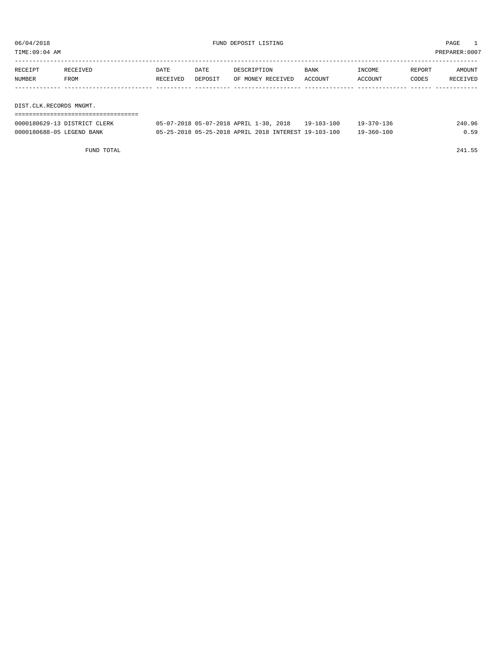TIME:09:04 AM PREPARER:0007

| RECEIPT | RECEIVED | DATE     | DATE    | DESCRIPTION       | BANK    | INCOME  | REPORT | AMOUNT   |
|---------|----------|----------|---------|-------------------|---------|---------|--------|----------|
| NUMBER  | FROM     | RECEIVED | DEPOSIT | OF MONEY RECEIVED | ACCOUNT | ACCOUNT | CODES  | RECEIVED |
|         |          |          |         |                   |         |         |        |          |
|         |          |          |         |                   |         |         |        |          |
|         |          |          |         |                   |         |         |        |          |

DIST.CLK.RECORDS MNGMT. ===================================

| 0000180629-13 DISTRICT CLERK | 05-07-2018 05-07-2018 APRIL 1-30, 2018               | $19 - 103 - 100$ | $19 - 370 - 136$ | 240.96 |
|------------------------------|------------------------------------------------------|------------------|------------------|--------|
| 0000180688-05 LEGEND BANK    | 05-25-2018 05-25-2018 APRIL 2018 INTEREST 19-103-100 |                  | $19 - 360 - 100$ |        |

FUND TOTAL 241.55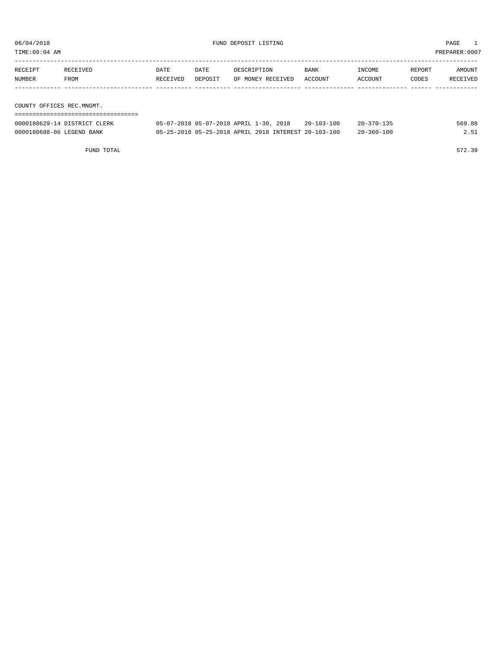TIME:09:04 AM PREPARER:0007

| RECEIPT<br>NUMBER         | RECEIVED<br>FROM | DATE<br>RECEIVED | DATE<br>DEPOSIT | DESCRIPTION<br>OF MONEY RECEIVED | BANK<br>ACCOUNT | INCOME<br>ACCOUNT | REPORT<br>CODES | AMOUNT<br>RECEIVED |  |  |
|---------------------------|------------------|------------------|-----------------|----------------------------------|-----------------|-------------------|-----------------|--------------------|--|--|
|                           |                  |                  |                 |                                  |                 |                   |                 |                    |  |  |
| COUNTY OFFICES REC.MNGMT. |                  |                  |                 |                                  |                 |                   |                 |                    |  |  |
|                           |                  |                  |                 |                                  |                 |                   |                 |                    |  |  |

| 0000180629-14 DISTRICT CLERK | 05-07-2018 05-07-2018 APRIL 1-30, 2018               | $20 - 103 - 100$ | $20 - 370 - 135$ | 569.88 |
|------------------------------|------------------------------------------------------|------------------|------------------|--------|
| 0000180688-06 LEGEND BANK    | 05-25-2018 05-25-2018 APRIL 2018 INTEREST 20-103-100 |                  | $20 - 360 - 100$ |        |

FUND TOTAL 572.39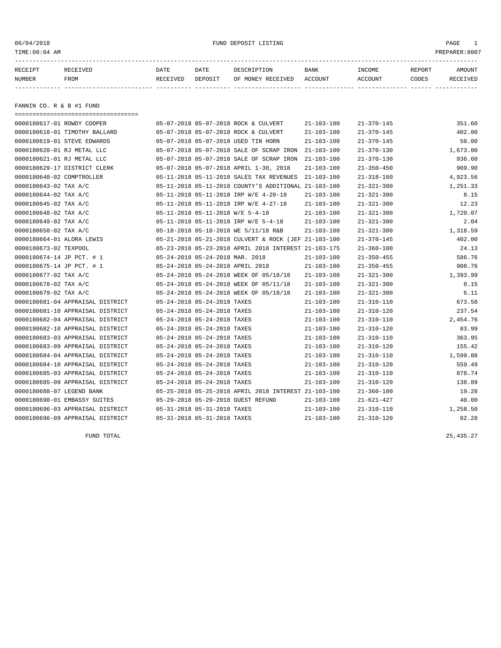06/04/2018 FUND DEPOSIT LISTING PAGE 1

| RECEIPT | <b>RECEIVED</b> | DATE     | DATE    | DESCRIPTION       | BANK    | <b>NCOME</b> | REPORT | AMOUNT          |
|---------|-----------------|----------|---------|-------------------|---------|--------------|--------|-----------------|
| NUMBER  | FROM            | RECEIVED | DEPOSIT | OF MONEY RECEIVED | ACCOUNT | ACCOUNT      | CODES  | <b>RECEIVED</b> |
|         |                 |          |         |                   |         |              |        |                 |

FANNIN CO. R & B #1 FUND

| ===================================== |                                  |                             |                                                      |                  |                  |          |
|---------------------------------------|----------------------------------|-----------------------------|------------------------------------------------------|------------------|------------------|----------|
| 0000180617-01 ROWDY COOPER            |                                  |                             | 05-07-2018 05-07-2018 ROCK & CULVERT                 | $21 - 103 - 100$ | $21 - 370 - 145$ | 351.60   |
| 0000180618-01 TIMOTHY BALLARD         |                                  |                             | 05-07-2018 05-07-2018 ROCK & CULVERT                 | $21 - 103 - 100$ | $21 - 370 - 145$ | 402.00   |
| 0000180619-01 STEVE EDWARDS           |                                  |                             | 05-07-2018 05-07-2018 USED TIN HORN                  | $21 - 103 - 100$ | $21 - 370 - 145$ | 50.00    |
| 0000180620-01 RJ METAL LLC            |                                  |                             | 05-07-2018 05-07-2018 SALE OF SCRAP IRON             | $21 - 103 - 100$ | $21 - 370 - 130$ | 1,673.00 |
| 0000180621-01 RJ METAL LLC            |                                  |                             | 05-07-2018 05-07-2018 SALE OF SCRAP IRON             | $21 - 103 - 100$ | $21 - 370 - 130$ | 936.60   |
| 0000180629-17 DISTRICT CLERK          |                                  |                             | 05-07-2018 05-07-2018 APRIL 1-30, 2018               | $21 - 103 - 100$ | $21 - 350 - 450$ | 909.90   |
| 0000180640-02 COMPTROLLER             |                                  |                             | 05-11-2018 05-11-2018 SALES TAX REVENUES             | $21 - 103 - 100$ | $21 - 318 - 160$ | 4,923.56 |
| 0000180643-02 TAX A/C                 |                                  |                             | 05-11-2018 05-11-2018 COUNTY'S ADDITIONAL 21-103-100 |                  | $21 - 321 - 300$ | 1,251.33 |
| 0000180644-02 TAX A/C                 |                                  |                             | 05-11-2018 05-11-2018 IRP W/E 4-20-18                | $21 - 103 - 100$ | $21 - 321 - 300$ | 8.15     |
| 0000180645-02 TAX A/C                 |                                  |                             | 05-11-2018 05-11-2018 IRP W/E 4-27-18                | $21 - 103 - 100$ | $21 - 321 - 300$ | 12.23    |
| 0000180648-02 TAX A/C                 | 05-11-2018 05-11-2018 W/E 5-4-18 |                             |                                                      | $21 - 103 - 100$ | $21 - 321 - 300$ | 1,720.07 |
| 0000180649-02 TAX A/C                 |                                  |                             | 05-11-2018 05-11-2018 IRP W/E 5-4-18                 | $21 - 103 - 100$ | $21 - 321 - 300$ | 2.04     |
| 0000180658-02 TAX A/C                 |                                  |                             | 05-18-2018 05-18-2018 WE 5/11/18 R&B                 | $21 - 103 - 100$ | $21 - 321 - 300$ | 1,318.59 |
| 0000180664-01 ALORA LEWIS             |                                  |                             | 05-21-2018 05-21-2018 CULVERT & ROCK (JEF 21-103-100 |                  | $21 - 370 - 145$ | 402.00   |
| 0000180673-02 TEXPOOL                 |                                  |                             | 05-23-2018 05-23-2018 APRIL 2018 INTEREST 21-103-175 |                  | $21 - 360 - 100$ | 24.13    |
| 0000180674-14 JP PCT. # 1             | 05-24-2018 05-24-2018 MAR. 2018  |                             |                                                      | $21 - 103 - 100$ | $21 - 350 - 455$ | 586.76   |
| 0000180675-14 JP PCT. # 1             | 05-24-2018 05-24-2018 APRIL 2018 |                             |                                                      | $21 - 103 - 100$ | $21 - 350 - 455$ | 908.76   |
| 0000180677-02 TAX A/C                 |                                  |                             | 05-24-2018 05-24-2018 WEEK OF 05/18/18               | $21 - 103 - 100$ | $21 - 321 - 300$ | 1,393.99 |
| 0000180678-02 TAX A/C                 |                                  |                             | 05-24-2018 05-24-2018 WEEK OF 05/11/18               | $21 - 103 - 100$ | $21 - 321 - 300$ | 8.15     |
| 0000180679-02 TAX A/C                 |                                  |                             | 05-24-2018 05-24-2018 WEEK OF 05/18/18               | $21 - 103 - 100$ | $21 - 321 - 300$ | 6.11     |
| 0000180681-04 APPRAISAL DISTRICT      | 05-24-2018 05-24-2018 TAXES      |                             |                                                      | $21 - 103 - 100$ | $21 - 310 - 110$ | 673.58   |
| 0000180681-10 APPRAISAL DISTRICT      | 05-24-2018 05-24-2018 TAXES      |                             |                                                      | $21 - 103 - 100$ | $21 - 310 - 120$ | 237.54   |
| 0000180682-04 APPRAISAL DISTRICT      | 05-24-2018 05-24-2018 TAXES      |                             |                                                      | $21 - 103 - 100$ | $21 - 310 - 110$ | 2,454.76 |
| 0000180682-10 APPRAISAL DISTRICT      |                                  | 05-24-2018 05-24-2018 TAXES |                                                      | $21 - 103 - 100$ | $21 - 310 - 120$ | 83.99    |
| 0000180683-03 APPRAISAL DISTRICT      | 05-24-2018 05-24-2018 TAXES      |                             |                                                      | $21 - 103 - 100$ | $21 - 310 - 110$ | 363.95   |
| 0000180683-09 APPRAISAL DISTRICT      |                                  | 05-24-2018 05-24-2018 TAXES |                                                      | $21 - 103 - 100$ | $21 - 310 - 120$ | 155.42   |
| 0000180684-04 APPRAISAL DISTRICT      |                                  | 05-24-2018 05-24-2018 TAXES |                                                      | $21 - 103 - 100$ | $21 - 310 - 110$ | 1,599.88 |
| 0000180684-10 APPRAISAL DISTRICT      |                                  | 05-24-2018 05-24-2018 TAXES |                                                      | $21 - 103 - 100$ | $21 - 310 - 120$ | 559.49   |
| 0000180685-03 APPRAISAL DISTRICT      | 05-24-2018 05-24-2018 TAXES      |                             |                                                      | $21 - 103 - 100$ | $21 - 310 - 110$ | 878.74   |
| 0000180685-09 APPRAISAL DISTRICT      | 05-24-2018 05-24-2018 TAXES      |                             |                                                      | $21 - 103 - 100$ | $21 - 310 - 120$ | 138.89   |
| 0000180688-07 LEGEND BANK             |                                  |                             | 05-25-2018 05-25-2018 APRIL 2018 INTEREST 21-103-100 |                  | $21 - 360 - 100$ | 19.28    |
| 0000180690-01 EMBASSY SUITES          |                                  |                             | 05-29-2018 05-29-2018 GUEST REFUND                   | $21 - 103 - 100$ | $21 - 621 - 427$ | 40.00    |
| 0000180696-03 APPRAISAL DISTRICT      | 05-31-2018 05-31-2018 TAXES      |                             |                                                      | $21 - 103 - 100$ | $21 - 310 - 110$ | 1,258.50 |
| 0000180696-09 APPRAISAL DISTRICT      |                                  | 05-31-2018 05-31-2018 TAXES |                                                      | $21 - 103 - 100$ | $21 - 310 - 120$ | 82.28    |

FUND TOTAL  $25,435.27$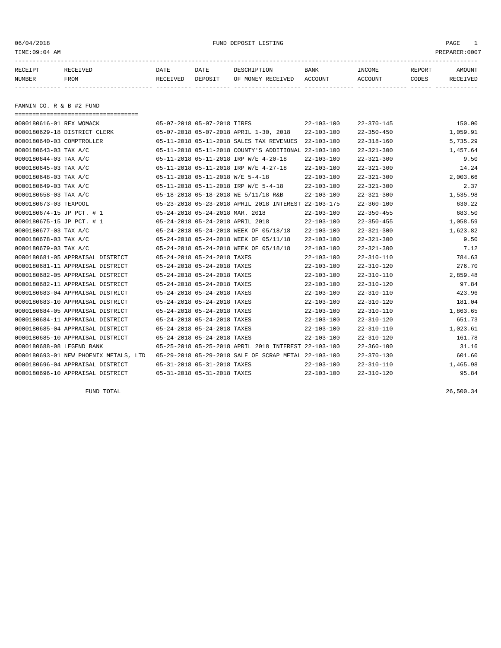06/04/2018 FUND DEPOSIT LISTING PAGE 1

| RECEIPT | <b>RECEIVED</b> | DATE     | DATE    | DESCRIPTION          | <b>BANK</b>    | INCOME  | <b>REPORT</b> | AMOUNT          |
|---------|-----------------|----------|---------|----------------------|----------------|---------|---------------|-----------------|
| NUMBER  | FROM            | RECEIVED | DEPOSIT | RECEIVED<br>OF MONEY | <b>ACCOUNT</b> | ACCOUNT | CODES         | <b>RECEIVED</b> |
|         |                 |          |         |                      |                |         |               |                 |

FANNIN CO. R & B #2 FUND

| ===================================== |                                  |                                                      |                  |                  |          |
|---------------------------------------|----------------------------------|------------------------------------------------------|------------------|------------------|----------|
| 0000180616-01 REX WOMACK              | 05-07-2018 05-07-2018 TIRES      |                                                      | $22 - 103 - 100$ | $22 - 370 - 145$ | 150.00   |
| 0000180629-18 DISTRICT CLERK          |                                  | 05-07-2018 05-07-2018 APRIL 1-30, 2018               | $22 - 103 - 100$ | $22 - 350 - 450$ | 1,059.91 |
| 0000180640-03 COMPTROLLER             |                                  | 05-11-2018 05-11-2018 SALES TAX REVENUES             | $22 - 103 - 100$ | $22 - 318 - 160$ | 5,735.29 |
| 0000180643-03 TAX A/C                 |                                  | 05-11-2018 05-11-2018 COUNTY'S ADDITIONAL 22-103-100 |                  | $22 - 321 - 300$ | 1,457.64 |
| 0000180644-03 TAX A/C                 |                                  | 05-11-2018 05-11-2018 IRP W/E 4-20-18                | 22-103-100       | $22 - 321 - 300$ | 9.50     |
| 0000180645-03 TAX A/C                 |                                  | 05-11-2018 05-11-2018 IRP W/E 4-27-18                | $22 - 103 - 100$ | $22 - 321 - 300$ | 14.24    |
| 0000180648-03 TAX A/C                 | 05-11-2018 05-11-2018 W/E 5-4-18 |                                                      | $22 - 103 - 100$ | $22 - 321 - 300$ | 2,003.66 |
| 0000180649-03 TAX A/C                 |                                  | 05-11-2018 05-11-2018 IRP W/E 5-4-18                 | $22 - 103 - 100$ | $22 - 321 - 300$ | 2.37     |
| 0000180658-03 TAX A/C                 |                                  | 05-18-2018 05-18-2018 WE 5/11/18 R&B                 | $22 - 103 - 100$ | $22 - 321 - 300$ | 1,535.98 |
| 0000180673-03 TEXPOOL                 |                                  | 05-23-2018 05-23-2018 APRIL 2018 INTEREST 22-103-175 |                  | $22 - 360 - 100$ | 630.22   |
| 0000180674-15 JP PCT. # 1             | 05-24-2018 05-24-2018 MAR. 2018  |                                                      | $22 - 103 - 100$ | $22 - 350 - 455$ | 683.50   |
| 0000180675-15 JP PCT. # 1             | 05-24-2018 05-24-2018 APRIL 2018 |                                                      | $22 - 103 - 100$ | $22 - 350 - 455$ | 1,058.59 |
| 0000180677-03 TAX A/C                 |                                  | 05-24-2018 05-24-2018 WEEK OF 05/18/18               | $22 - 103 - 100$ | $22 - 321 - 300$ | 1,623.82 |
| 0000180678-03 TAX A/C                 |                                  | 05-24-2018 05-24-2018 WEEK OF 05/11/18               | $22 - 103 - 100$ | $22 - 321 - 300$ | 9.50     |
| 0000180679-03 TAX A/C                 |                                  | 05-24-2018 05-24-2018 WEEK OF 05/18/18               | $22 - 103 - 100$ | $22 - 321 - 300$ | 7.12     |
| 0000180681-05 APPRAISAL DISTRICT      | 05-24-2018 05-24-2018 TAXES      |                                                      | $22 - 103 - 100$ | $22 - 310 - 110$ | 784.63   |
| 0000180681-11 APPRAISAL DISTRICT      | 05-24-2018 05-24-2018 TAXES      |                                                      | $22 - 103 - 100$ | $22 - 310 - 120$ | 276.70   |
| 0000180682-05 APPRAISAL DISTRICT      | 05-24-2018 05-24-2018 TAXES      |                                                      | $22 - 103 - 100$ | $22 - 310 - 110$ | 2,859.48 |
| 0000180682-11 APPRAISAL DISTRICT      | 05-24-2018 05-24-2018 TAXES      |                                                      | $22 - 103 - 100$ | $22 - 310 - 120$ | 97.84    |
| 0000180683-04 APPRAISAL DISTRICT      | 05-24-2018 05-24-2018 TAXES      |                                                      | $22 - 103 - 100$ | $22 - 310 - 110$ | 423.96   |
| 0000180683-10 APPRAISAL DISTRICT      | 05-24-2018 05-24-2018 TAXES      |                                                      | $22 - 103 - 100$ | $22 - 310 - 120$ | 181.04   |
| 0000180684-05 APPRAISAL DISTRICT      | 05-24-2018 05-24-2018 TAXES      |                                                      | $22 - 103 - 100$ | $22 - 310 - 110$ | 1,863.65 |
| 0000180684-11 APPRAISAL DISTRICT      | 05-24-2018 05-24-2018 TAXES      |                                                      | $22 - 103 - 100$ | $22 - 310 - 120$ | 651.73   |
| 0000180685-04 APPRAISAL DISTRICT      | 05-24-2018 05-24-2018 TAXES      |                                                      | $22 - 103 - 100$ | $22 - 310 - 110$ | 1,023.61 |
| 0000180685-10 APPRAISAL DISTRICT      | 05-24-2018 05-24-2018 TAXES      |                                                      | $22 - 103 - 100$ | $22 - 310 - 120$ | 161.78   |
| 0000180688-08 LEGEND BANK             |                                  | 05-25-2018 05-25-2018 APRIL 2018 INTEREST 22-103-100 |                  | $22 - 360 - 100$ | 31.16    |
| 0000180693-01 NEW PHOENIX METALS, LTD |                                  | 05-29-2018 05-29-2018 SALE OF SCRAP METAL 22-103-100 |                  | $22 - 370 - 130$ | 601.60   |
| 0000180696-04 APPRAISAL DISTRICT      | 05-31-2018 05-31-2018 TAXES      |                                                      | $22 - 103 - 100$ | 22-310-110       | 1,465.98 |
| 0000180696-10 APPRAISAL DISTRICT      | 05-31-2018 05-31-2018 TAXES      |                                                      | $22 - 103 - 100$ | $22 - 310 - 120$ | 95.84    |

FUND TOTAL 26,500.34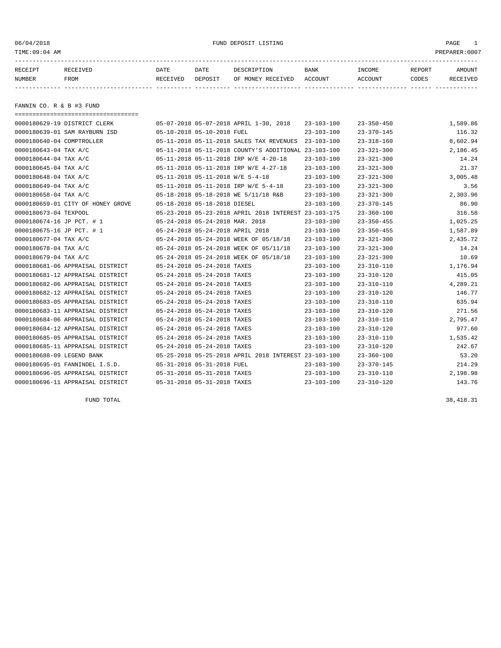06/04/2018 FUND DEPOSIT LISTING PAGE 1

| RECEIPT | <b>RECEIVED</b> | DATE            | DATE    | DESCRIPTION       | <b>BANK</b> | <b>INCOME</b> | REPORT | AMOUNT          |
|---------|-----------------|-----------------|---------|-------------------|-------------|---------------|--------|-----------------|
| NUMBER  | FROM            | <b>RECEIVED</b> | DEPOSIT | OF MONEY RECEIVED | ACCOUNT     | ACCOUNT       | CODES  | <b>RECEIVED</b> |
|         |                 |                 |         |                   |             |               |        |                 |

FANNIN CO. R & B #3 FUND

| ====================================== |                                                      |                  |                  |          |
|----------------------------------------|------------------------------------------------------|------------------|------------------|----------|
| 0000180629-19 DISTRICT CLERK           | 05-07-2018 05-07-2018 APRIL 1-30, 2018               | $23 - 103 - 100$ | $23 - 350 - 450$ | 1,589.86 |
| 0000180639-01 SAM RAYBURN ISD          | 05-10-2018 05-10-2018 FUEL                           | $23 - 103 - 100$ | $23 - 370 - 145$ | 116.32   |
| 0000180640-04 COMPTROLLER              | 05-11-2018 05-11-2018 SALES TAX REVENUES             | 23-103-100       | $23 - 318 - 160$ | 8,602.94 |
| 0000180643-04 TAX A/C                  | 05-11-2018 05-11-2018 COUNTY'S ADDITIONAL 23-103-100 |                  | $23 - 321 - 300$ | 2,186.45 |
| 0000180644-04 TAX A/C                  | 05-11-2018 05-11-2018 IRP W/E 4-20-18                | $23 - 103 - 100$ | $23 - 321 - 300$ | 14.24    |
| 0000180645-04 TAX A/C                  | 05-11-2018 05-11-2018 IRP W/E 4-27-18                | $23 - 103 - 100$ | $23 - 321 - 300$ | 21.37    |
| 0000180648-04 TAX A/C                  | 05-11-2018 05-11-2018 W/E 5-4-18                     | $23 - 103 - 100$ | $23 - 321 - 300$ | 3,005.48 |
| 0000180649-04 TAX A/C                  | 05-11-2018 05-11-2018 IRP W/E 5-4-18                 | $23 - 103 - 100$ | $23 - 321 - 300$ | 3.56     |
| 0000180658-04 TAX A/C                  | 05-18-2018 05-18-2018 WE 5/11/18 R&B                 | $23 - 103 - 100$ | $23 - 321 - 300$ | 2,303.96 |
| 0000180659-01 CITY OF HONEY GROVE      | 05-18-2018 05-18-2018 DIESEL                         | $23 - 103 - 100$ | $23 - 370 - 145$ | 86.90    |
| 0000180673-04 TEXPOOL                  | 05-23-2018 05-23-2018 APRIL 2018 INTEREST 23-103-175 |                  | $23 - 360 - 100$ | 316.58   |
| 0000180674-16 JP PCT. # 1              | 05-24-2018 05-24-2018 MAR. 2018                      | $23 - 103 - 100$ | $23 - 350 - 455$ | 1,025.25 |
| 0000180675-16 JP PCT. # 1              | 05-24-2018 05-24-2018 APRIL 2018                     | $23 - 103 - 100$ | $23 - 350 - 455$ | 1,587.89 |
| 0000180677-04 TAX A/C                  | 05-24-2018 05-24-2018 WEEK OF 05/18/18               | $23 - 103 - 100$ | $23 - 321 - 300$ | 2,435.72 |
| 0000180678-04 TAX A/C                  | 05-24-2018 05-24-2018 WEEK OF 05/11/18               | $23 - 103 - 100$ | $23 - 321 - 300$ | 14.24    |
| 0000180679-04 TAX A/C                  | 05-24-2018 05-24-2018 WEEK OF 05/18/18               | $23 - 103 - 100$ | $23 - 321 - 300$ | 10.69    |
| 0000180681-06 APPRAISAL DISTRICT       | 05-24-2018 05-24-2018 TAXES                          | $23 - 103 - 100$ | $23 - 310 - 110$ | 1,176.94 |
| 0000180681-12 APPRAISAL DISTRICT       | 05-24-2018 05-24-2018 TAXES                          | $23 - 103 - 100$ | 23-310-120       | 415.05   |
| 0000180682-06 APPRAISAL DISTRICT       | 05-24-2018 05-24-2018 TAXES                          | 23-103-100       | 23-310-110       | 4,289.21 |
| 0000180682-12 APPRAISAL DISTRICT       | 05-24-2018 05-24-2018 TAXES                          | $23 - 103 - 100$ | $23 - 310 - 120$ | 146.77   |
| 0000180683-05 APPRAISAL DISTRICT       | 05-24-2018 05-24-2018 TAXES                          | $23 - 103 - 100$ | $23 - 310 - 110$ | 635.94   |
| 0000180683-11 APPRAISAL DISTRICT       | 05-24-2018 05-24-2018 TAXES                          | $23 - 103 - 100$ | $23 - 310 - 120$ | 271.56   |
| 0000180684-06 APPRAISAL DISTRICT       | 05-24-2018 05-24-2018 TAXES                          | 23-103-100       | $23 - 310 - 110$ | 2,795.47 |
| 0000180684-12 APPRAISAL DISTRICT       | 05-24-2018 05-24-2018 TAXES                          | $23 - 103 - 100$ | $23 - 310 - 120$ | 977.60   |
| 0000180685-05 APPRAISAL DISTRICT       | 05-24-2018 05-24-2018 TAXES                          | $23 - 103 - 100$ | $23 - 310 - 110$ | 1,535.42 |
| 0000180685-11 APPRAISAL DISTRICT       | 05-24-2018 05-24-2018 TAXES                          | $23 - 103 - 100$ | $23 - 310 - 120$ | 242.67   |
| 0000180688-09 LEGEND BANK              | 05-25-2018 05-25-2018 APRIL 2018 INTEREST 23-103-100 |                  | $23 - 360 - 100$ | 53.20    |
| 0000180695-01 FANNINDEL I.S.D.         | 05-31-2018 05-31-2018 FUEL                           | $23 - 103 - 100$ | $23 - 370 - 145$ | 214.29   |
| 0000180696-05 APPRAISAL DISTRICT       | 05-31-2018 05-31-2018 TAXES                          | $23 - 103 - 100$ | $23 - 310 - 110$ | 2,198.98 |
| 0000180696-11 APPRAISAL DISTRICT       | 05-31-2018 05-31-2018 TAXES                          | $23 - 103 - 100$ | $23 - 310 - 120$ | 143.76   |

FUND TOTAL  $38,418.31$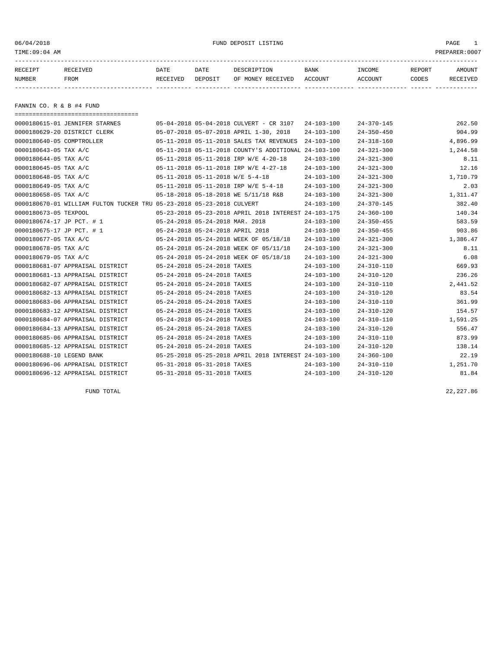06/04/2018 FUND DEPOSIT LISTING PAGE 1

| RECEIPT | <b>RECEIVED</b> | DATE     | DATE    | DESCRIPTION          | <b>BANK</b>    | INCOME  | <b>REPORT</b> | AMOUNT          |
|---------|-----------------|----------|---------|----------------------|----------------|---------|---------------|-----------------|
| NUMBER  | FROM            | RECEIVED | DEPOSIT | RECEIVED<br>OF MONEY | <b>ACCOUNT</b> | ACCOUNT | CODES         | <b>RECEIVED</b> |
|         |                 |          |         |                      |                |         |               |                 |

FANNIN CO. R & B #4 FUND

| ======================================                                |                                  |                             |                                                      |                  |                  |          |
|-----------------------------------------------------------------------|----------------------------------|-----------------------------|------------------------------------------------------|------------------|------------------|----------|
| 0000180615-01 JENNIFER STARNES                                        |                                  |                             | 05-04-2018 05-04-2018 CULVERT - CR 3107              | $24 - 103 - 100$ | $24 - 370 - 145$ | 262.50   |
| 0000180629-20 DISTRICT CLERK                                          |                                  |                             | 05-07-2018 05-07-2018 APRIL 1-30, 2018               | $24 - 103 - 100$ | $24 - 350 - 450$ | 904.99   |
| 0000180640-05 COMPTROLLER                                             |                                  |                             | 05-11-2018 05-11-2018 SALES TAX REVENUES             | $24 - 103 - 100$ | $24 - 318 - 160$ | 4,896.99 |
| 0000180643-05 TAX A/C                                                 |                                  |                             | 05-11-2018 05-11-2018 COUNTY'S ADDITIONAL 24-103-100 |                  | $24 - 321 - 300$ | 1,244.58 |
| 0000180644-05 TAX A/C                                                 |                                  |                             | 05-11-2018 05-11-2018 IRP W/E 4-20-18                | $24 - 103 - 100$ | $24 - 321 - 300$ | 8.11     |
| 0000180645-05 TAX A/C                                                 |                                  |                             | 05-11-2018 05-11-2018 IRP W/E 4-27-18                | $24 - 103 - 100$ | $24 - 321 - 300$ | 12.16    |
| 0000180648-05 TAX A/C                                                 | 05-11-2018 05-11-2018 W/E 5-4-18 |                             |                                                      | $24 - 103 - 100$ | $24 - 321 - 300$ | 1,710.79 |
| 0000180649-05 TAX A/C                                                 |                                  |                             | 05-11-2018 05-11-2018 IRP W/E 5-4-18                 | $24 - 103 - 100$ | $24 - 321 - 300$ | 2.03     |
| 0000180658-05 TAX A/C                                                 |                                  |                             | 05-18-2018 05-18-2018 WE 5/11/18 R&B                 | $24 - 103 - 100$ | $24 - 321 - 300$ | 1,311.47 |
| 0000180670-01 WILLIAM FULTON TUCKER TRU 05-23-2018 05-23-2018 CULVERT |                                  |                             |                                                      | $24 - 103 - 100$ | $24 - 370 - 145$ | 382.40   |
| 0000180673-05 TEXPOOL                                                 |                                  |                             | 05-23-2018 05-23-2018 APRIL 2018 INTEREST 24-103-175 |                  | $24 - 360 - 100$ | 140.34   |
| 0000180674-17 JP PCT. # 1                                             | 05-24-2018 05-24-2018 MAR. 2018  |                             |                                                      | $24 - 103 - 100$ | $24 - 350 - 455$ | 583.59   |
| 0000180675-17 JP PCT. # 1                                             | 05-24-2018 05-24-2018 APRIL 2018 |                             |                                                      | $24 - 103 - 100$ | $24 - 350 - 455$ | 903.86   |
| 0000180677-05 TAX A/C                                                 |                                  |                             | 05-24-2018 05-24-2018 WEEK OF 05/18/18               | $24 - 103 - 100$ | $24 - 321 - 300$ | 1,386.47 |
| 0000180678-05 TAX A/C                                                 |                                  |                             | 05-24-2018 05-24-2018 WEEK OF 05/11/18               | $24 - 103 - 100$ | $24 - 321 - 300$ | 8.11     |
| 0000180679-05 TAX A/C                                                 |                                  |                             | 05-24-2018 05-24-2018 WEEK OF 05/18/18               | $24 - 103 - 100$ | $24 - 321 - 300$ | 6.08     |
| 0000180681-07 APPRAISAL DISTRICT                                      | 05-24-2018 05-24-2018 TAXES      |                             |                                                      | $24 - 103 - 100$ | $24 - 310 - 110$ | 669.93   |
| 0000180681-13 APPRAISAL DISTRICT                                      |                                  | 05-24-2018 05-24-2018 TAXES |                                                      | $24 - 103 - 100$ | $24 - 310 - 120$ | 236.26   |
| 0000180682-07 APPRAISAL DISTRICT                                      |                                  | 05-24-2018 05-24-2018 TAXES |                                                      | $24 - 103 - 100$ | $24 - 310 - 110$ | 2,441.52 |
| 0000180682-13 APPRAISAL DISTRICT                                      |                                  | 05-24-2018 05-24-2018 TAXES |                                                      | $24 - 103 - 100$ | $24 - 310 - 120$ | 83.54    |
| 0000180683-06 APPRAISAL DISTRICT                                      | 05-24-2018 05-24-2018 TAXES      |                             |                                                      | $24 - 103 - 100$ | $24 - 310 - 110$ | 361.99   |
| 0000180683-12 APPRAISAL DISTRICT                                      | 05-24-2018 05-24-2018 TAXES      |                             |                                                      | $24 - 103 - 100$ | $24 - 310 - 120$ | 154.57   |
| 0000180684-07 APPRAISAL DISTRICT                                      |                                  | 05-24-2018 05-24-2018 TAXES |                                                      | $24 - 103 - 100$ | $24 - 310 - 110$ | 1,591.25 |
| 0000180684-13 APPRAISAL DISTRICT                                      | 05-24-2018 05-24-2018 TAXES      |                             |                                                      | $24 - 103 - 100$ | $24 - 310 - 120$ | 556.47   |
| 0000180685-06 APPRAISAL DISTRICT                                      | 05-24-2018 05-24-2018 TAXES      |                             |                                                      | $24 - 103 - 100$ | $24 - 310 - 110$ | 873.99   |
| 0000180685-12 APPRAISAL DISTRICT                                      |                                  | 05-24-2018 05-24-2018 TAXES |                                                      | $24 - 103 - 100$ | $24 - 310 - 120$ | 138.14   |
| 0000180688-10 LEGEND BANK                                             |                                  |                             | 05-25-2018 05-25-2018 APRIL 2018 INTEREST 24-103-100 |                  | $24 - 360 - 100$ | 22.19    |
| 0000180696-06 APPRAISAL DISTRICT                                      | 05-31-2018 05-31-2018 TAXES      |                             |                                                      | $24 - 103 - 100$ | $24 - 310 - 110$ | 1,251.70 |
| 0000180696-12 APPRAISAL DISTRICT                                      | 05-31-2018 05-31-2018 TAXES      |                             |                                                      | $24 - 103 - 100$ | $24 - 310 - 120$ | 81.84    |

FUND TOTAL 22,227.86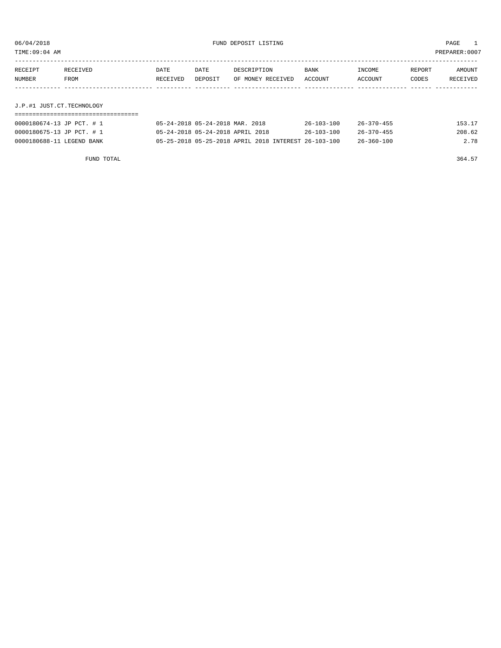TIME:09:04 AM PREPARER:0007

| RECEIPT | RECEIVED    | DATE     | DATE    | DESCRIPTION       | <b>BANK</b> | INCOME  | REPORT | AMOUNT   |
|---------|-------------|----------|---------|-------------------|-------------|---------|--------|----------|
| NUMBER  | <b>FROM</b> | RECEIVED | DEPOSIT | OF MONEY RECEIVED | ACCOUNT     | ACCOUNT | CODES  | RECEIVED |
|         |             |          |         |                   |             |         |        |          |
|         |             |          |         |                   |             |         |        |          |

J.P.#1 JUST.CT.TECHNOLOGY

| 0000180674-13 JP PCT. # 1 | 05-24-2018 05-24-2018 MAR. 2018                      | $26 - 103 - 100$ | 26-370-455 | 153.17 |
|---------------------------|------------------------------------------------------|------------------|------------|--------|
| 0000180675-13 JP PCT. # 1 | 05-24-2018 05-24-2018 APRIL 2018                     | $26 - 103 - 100$ | 26-370-455 | 208.62 |
| 0000180688-11 LEGEND BANK | 05-25-2018 05-25-2018 APRIL 2018 INTEREST 26-103-100 |                  | 26-360-100 | 2.78   |

FUND TOTAL 364.57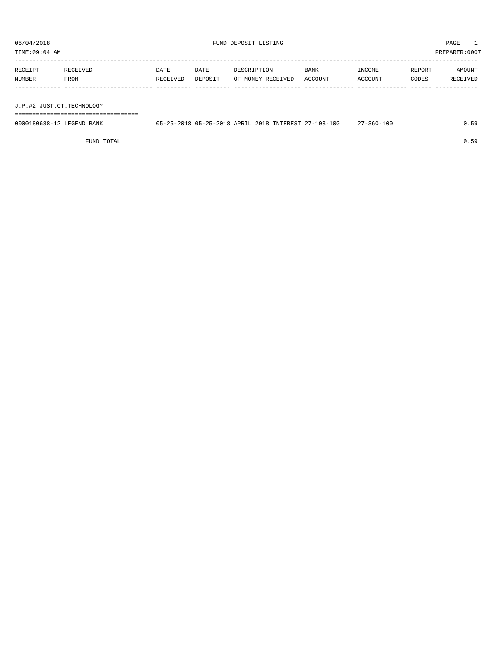TIME:09:04 AM PREPARER:0007

| RECEIPT | RECEIVED | DATE     | DATE    | DESCRIPTION       | <b>BANK</b> | INCOME  | REPORT | AMOUNT          |
|---------|----------|----------|---------|-------------------|-------------|---------|--------|-----------------|
| NUMBER  | FROM     | RECEIVED | DEPOSIT | OF MONEY RECEIVED | ACCOUNT     | ACCOUNT | CODES  | <b>RECEIVED</b> |
|         |          |          |         |                   |             |         |        |                 |

J.P.#2 JUST.CT.TECHNOLOGY

===================================

| 0000180688-12 LEGEND BANK | 05-25-2018 05-25-2018 APRIL 2018 INTEREST 27-103-100 |  |  | 27-360-100<br>$\cdots$ |  |
|---------------------------|------------------------------------------------------|--|--|------------------------|--|
|                           |                                                      |  |  |                        |  |

FUND TOTAL 0.59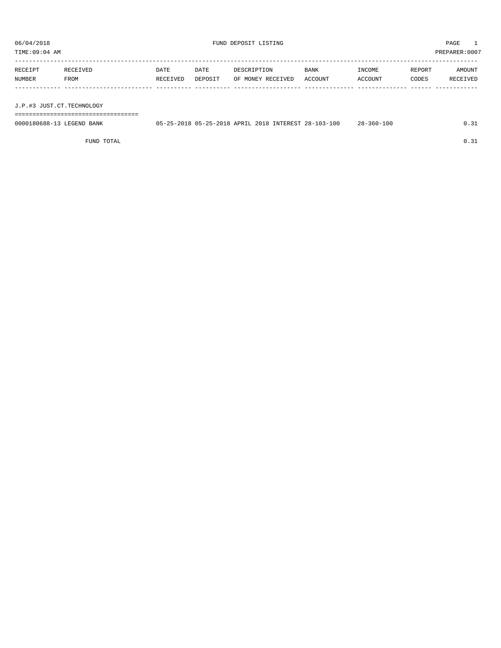TIME:09:04 AM PREPARER:0007

| RECEIPT | RECEIVED | DATE     | DATE    | DESCRIPTION       | <b>BANK</b> | <b>TNCOME</b>  | REPORT | AMOUNT          |
|---------|----------|----------|---------|-------------------|-------------|----------------|--------|-----------------|
| NUMBER  | FROM     | RECEIVED | DEPOSIT | OF MONEY RECEIVED | ACCOUNT     | <b>ACCOUNT</b> | CODES  | <b>RECEIVED</b> |
|         |          |          |         |                   |             |                |        |                 |
|         |          |          |         |                   |             |                |        |                 |

J.P.#3 JUST.CT.TECHNOLOGY

===================================

| 0000180688-13 LEGEND BANK | 05-25-2018 05-25-2018 APRIL 2018 INTEREST 28-103-100 |  | $28 - 360 - 100$ | 0.31 |
|---------------------------|------------------------------------------------------|--|------------------|------|
|                           |                                                      |  |                  |      |

FUND TOTAL  $0.31$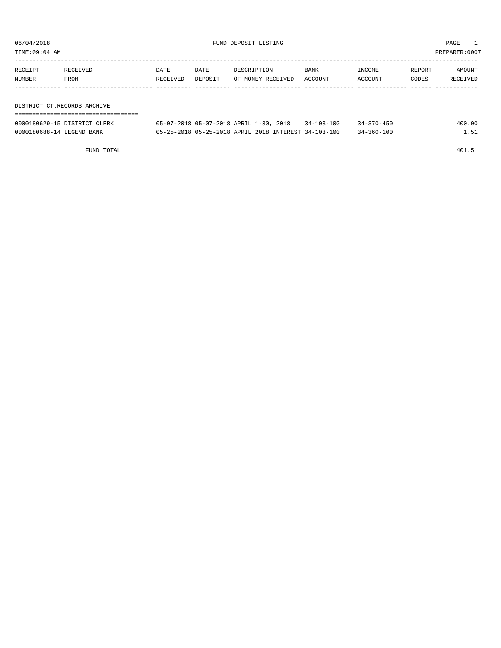TIME:09:04 AM PREPARER:0007

| RECEIPT | RECEIVED | <b>DATE</b> | DATE    | DESCRIPTION       | <b>BANK</b> | INCOME  | REPORT | AMOUNT   |
|---------|----------|-------------|---------|-------------------|-------------|---------|--------|----------|
| NUMBER  | FROM     | RECEIVED    | DEPOSIT | OF MONEY RECEIVED | ACCOUNT     | ACCOUNT | CODES  | RECEIVED |
|         |          |             |         |                   |             |         |        |          |
|         |          |             |         |                   |             |         |        |          |

DISTRICT CT.RECORDS ARCHIVE ===================================

| 0000180629-15 DISTRICT CLERK | 05-07-2018 05-07-2018 APRIL 1-30, 2018               |  |  | $34 - 103 - 100$ | $34 - 370 - 450$ | 400.00 |
|------------------------------|------------------------------------------------------|--|--|------------------|------------------|--------|
| 0000180688-14 LEGEND BANK    | 05-25-2018 05-25-2018 APRIL 2018 INTEREST 34-103-100 |  |  |                  | $34 - 360 - 100$ |        |

FUND TOTAL 401.51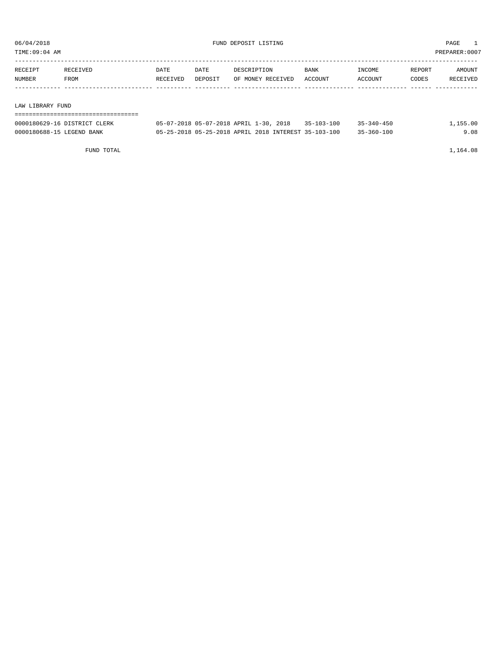TIME:09:04 AM PREPARER:0007

| RECEIPT | RECEIVED | DATE     | DATE    | DESCRIPTION       | BANK    | INCOME  | REPORT | AMOUNT   |
|---------|----------|----------|---------|-------------------|---------|---------|--------|----------|
| NUMBER  | FROM     | RECEIVED | DEPOSIT | OF MONEY RECEIVED | ACCOUNT | ACCOUNT | CODES  | RECEIVED |
|         |          |          |         |                   |         |         |        |          |
|         |          |          |         |                   |         |         |        |          |
|         |          |          |         |                   |         |         |        |          |

LAW LIBRARY FUND

| 0000180629-16 DISTRICT CLERK | 05-07-2018 05-07-2018 APRIL 1-30, 2018               | 35-103-100 | $35 - 340 - 450$ | 1,155.00 |
|------------------------------|------------------------------------------------------|------------|------------------|----------|
| 0000180688-15 LEGEND BANK    | 05-25-2018 05-25-2018 APRIL 2018 INTEREST 35-103-100 |            | $35 - 360 - 100$ | 9.08     |

FUND TOTAL 1,164.08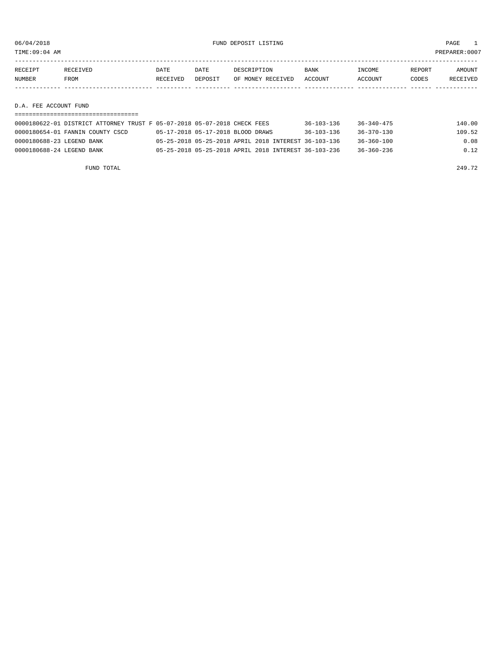TIME:09:04 AM PREPARER:0007

| RECEIPT | <b>RECEIVED</b> | DATE     | DATE    | DESCRIPTION       | <b>BANK</b> | <b>INCOME</b> | REPORT | AMOUNT          |
|---------|-----------------|----------|---------|-------------------|-------------|---------------|--------|-----------------|
| NUMBER  | <b>FROM</b>     | RECEIVED | DEPOSIT | OF MONEY RECEIVED | ACCOUNT     | ACCOUNT       | CODES  | <b>RECEIVED</b> |
|         |                 |          |         |                   |             |               |        |                 |

D.A. FEE ACCOUNT FUND

| 0000180622-01 DISTRICT ATTORNEY TRUST F 05-07-2018 05-07-2018 CHECK FEES |                                   |  | $36 - 103 - 136$                                     | 36-340-475       | 140.00 |
|--------------------------------------------------------------------------|-----------------------------------|--|------------------------------------------------------|------------------|--------|
| 0000180654-01 FANNIN COUNTY CSCD                                         | 05-17-2018 05-17-2018 BLOOD DRAWS |  | $36 - 103 - 136$                                     | $36 - 370 - 130$ | 109.52 |
| 0000180688-23 LEGEND BANK                                                |                                   |  | 05-25-2018 05-25-2018 APRIL 2018 INTEREST 36-103-136 | $36 - 360 - 100$ | 0.08   |
| 0000180688-24 LEGEND BANK                                                |                                   |  | 05-25-2018 05-25-2018 APRIL 2018 INTEREST 36-103-236 | 36-360-236       | 0.12   |

FUND TOTAL 249.72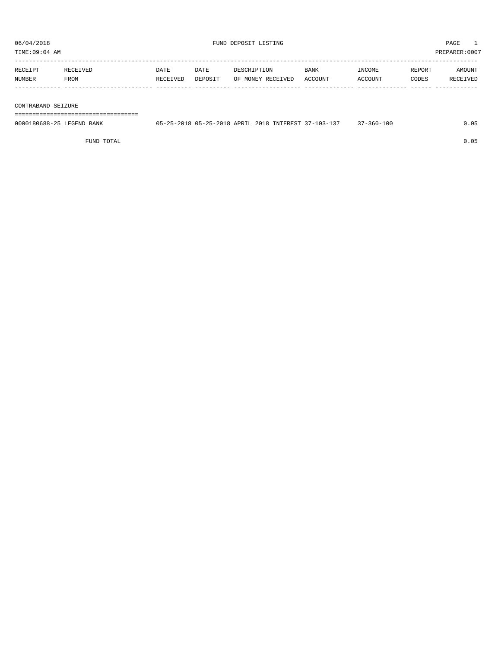TIME:09:04 AM PREPARER:0007 ----------------------------------------------------------------------------------------------------------------------------------- RECEIPT RECEIVED DATE DATE DESCRIPTION BANK INCOME REPORT AMOUNT NUMBER FROM RECEIVED DEPOSIT OF MONEY RECEIVED ACCOUNT ACCOUNT CODES RECEIVED

|                    | ------ | --------- | -------- |  | -------- | --------- | ----- | -------- |
|--------------------|--------|-----------|----------|--|----------|-----------|-------|----------|
|                    |        |           |          |  |          |           |       |          |
|                    |        |           |          |  |          |           |       |          |
|                    |        |           |          |  |          |           |       |          |
|                    |        |           |          |  |          |           |       |          |
|                    |        |           |          |  |          |           |       |          |
|                    |        |           |          |  |          |           |       |          |
|                    |        |           |          |  |          |           |       |          |
| CONTRABAND SEIZURE |        |           |          |  |          |           |       |          |

===================================

| 0000180688-25 LEGEND BANK | 05-25-2018 05-25-2018 APRIL 2018 INTEREST 37-103-137 | $37 - 360 - 100$ | 0.05 |
|---------------------------|------------------------------------------------------|------------------|------|
|                           |                                                      |                  |      |

FUND TOTAL 0.05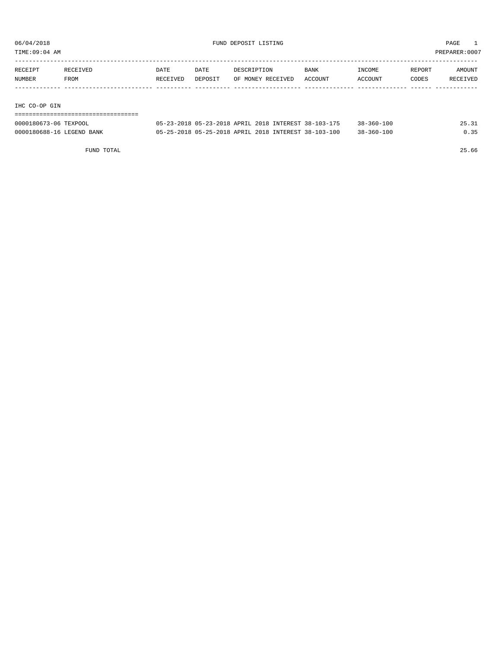TIME:09:04 AM PREPARER:0007

| RECEIPT | RECEIVED | DATE     | DATE    | DESCRIPTION       | <b>BANK</b> | INCOME         | REPORT | AMOUNT   |
|---------|----------|----------|---------|-------------------|-------------|----------------|--------|----------|
| NUMBER  | FROM     | RECEIVED | DEPOSIT | OF MONEY RECEIVED | ACCOUNT     | <b>ACCOUNT</b> | CODES  | RECEIVED |
|         |          |          |         |                   |             |                |        |          |

IHC CO-OP GIN

===================================

| 0000180673-06 TEXPOOL     | 05-23-2018 05-23-2018 APRIL 2018 INTEREST 38-103-175 | $38 - 360 - 100$ |  |
|---------------------------|------------------------------------------------------|------------------|--|
| 0000180688-16 LEGEND BANK | 05-25-2018 05-25-2018 APRIL 2018 INTEREST 38-103-100 | $38 - 360 - 100$ |  |

FUND TOTAL 25.66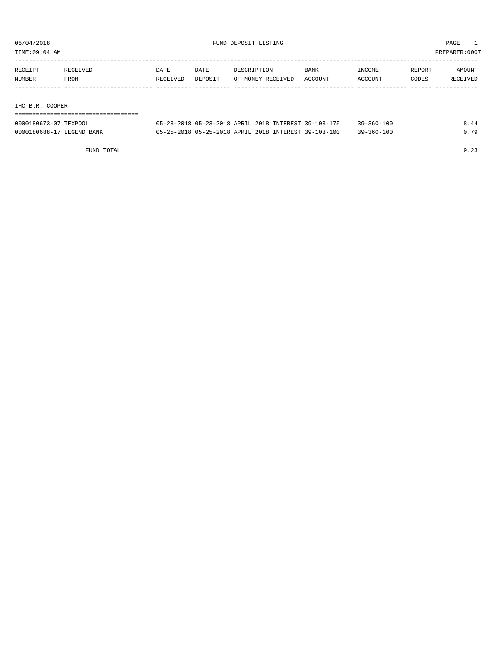TIME:09:04 AM PREPARER:0007

| RECEIPT | RECEIVED | DATE     | DATE    | DESCRIPTION       | <b>BANK</b> | INCOME         | REPORT | AMOUNT   |
|---------|----------|----------|---------|-------------------|-------------|----------------|--------|----------|
| NUMBER  | FROM     | RECEIVED | DEPOSIT | OF MONEY RECEIVED | ACCOUNT     | <b>ACCOUNT</b> | CODES  | RECEIVED |
|         |          |          |         |                   |             |                |        |          |

#### IHC B.R. COOPER

===================================

| 0000180673-07 TEXPOOL     | 05-23-2018 05-23-2018 APRIL 2018 INTEREST 39-103-175 | $39 - 360 - 100$ | 8.44 |
|---------------------------|------------------------------------------------------|------------------|------|
| 0000180688-17 LEGEND BANK | 05-25-2018 05-25-2018 APRIL 2018 INTEREST 39-103-100 | $39 - 360 - 100$ | 0.79 |

FUND TOTAL 9.23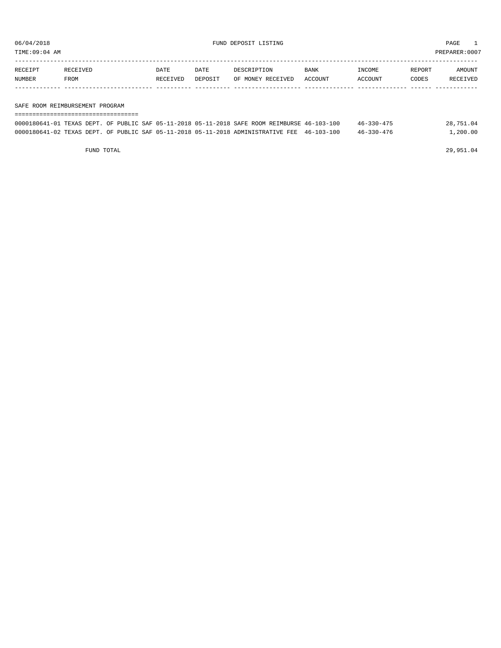TIME:09:04 AM PREPARER:0007

| RECEIPT       | <b>RECEIVED</b> | DATE     | DATE    | DESCRIPTION       | BANK           | <b>NCOME</b> | REPORT | AMOUNT          |
|---------------|-----------------|----------|---------|-------------------|----------------|--------------|--------|-----------------|
| <b>NUMBER</b> | FROM            | RECEIVED | DEPOSIT | OF MONEY RECEIVED | <b>ACCOUNT</b> | CCOUNT       | CODES  | <b>RECEIVED</b> |
|               |                 |          |         |                   |                |              |        |                 |

#### SAFE ROOM REIMBURSEMENT PROGRAM

| ================================= |  |  |                                                                                              |                  |           |
|-----------------------------------|--|--|----------------------------------------------------------------------------------------------|------------------|-----------|
|                                   |  |  | 0000180641-01 TEXAS DEPT. OF PUBLIC SAF 05-11-2018 05-11-2018 SAFE ROOM REIMBURSE 46-103-100 | $46 - 330 - 475$ | 28,751.04 |
|                                   |  |  | 0000180641-02 TEXAS DEPT. OF PUBLIC SAF 05-11-2018 05-11-2018 ADMINISTRATIVE FEE 46-103-100  | 46-330-476       | 1,200.00  |

FUND TOTAL 29,951.04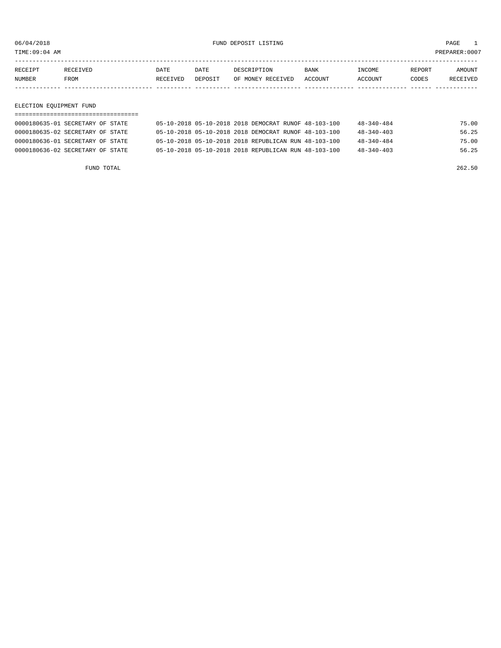TIME:09:04 AM PREPARER:0007

| <b>NUMBER</b> | <b>FROM</b> | RECEIVED | DEPOSIT     | OF MONEY RECEIVED | ACCOUNT     | ACCOUNT       | CODES  | <b>RECEIVED</b> |
|---------------|-------------|----------|-------------|-------------------|-------------|---------------|--------|-----------------|
| RECEIPT       | RECEIVED    | DATE     | <b>DATE</b> | DESCRIPTION       | <b>BANK</b> | <b>TNCOME</b> | REPORT | AMOUNT          |
|               |             |          |             |                   |             |               |        |                 |

#### ELECTION EQUIPMENT FUND

| 0000180635-01 SECRETARY OF STATE | 05-10-2018 05-10-2018 2018 DEMOCRAT RUNOF 48-103-100 |  | $48 - 340 - 484$ | 75.00 |
|----------------------------------|------------------------------------------------------|--|------------------|-------|
| 0000180635-02 SECRETARY OF STATE | 05-10-2018 05-10-2018 2018 DEMOCRAT RUNOF 48-103-100 |  | $48 - 340 - 403$ | 56.25 |
| 0000180636-01 SECRETARY OF STATE | 05-10-2018 05-10-2018 2018 REPUBLICAN RUN 48-103-100 |  | $48 - 340 - 484$ | 75.00 |
| 0000180636-02 SECRETARY OF STATE | 05-10-2018 05-10-2018 2018 REPUBLICAN RUN 48-103-100 |  | $48 - 340 - 403$ | 56.25 |

FUND TOTAL 262.50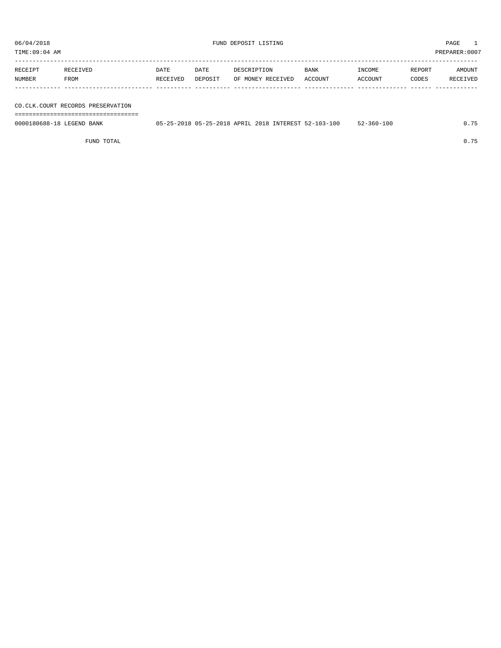TIME:09:04 AM PREPARER:0007

| RECEIPT       | RECEIVED    | DATE     | <b>DATE</b> | DESCRIPTION       | <b>BANK</b> | <b>TNCOME</b> | REPORT | AMOUNT   |
|---------------|-------------|----------|-------------|-------------------|-------------|---------------|--------|----------|
| <b>NUMBER</b> | <b>FROM</b> | RECEIVED | DEPOSIT     | OF MONEY RECEIVED | ACCOUNT     | ACCOUNT       | CODES  | RECEIVED |
|               |             |          |             |                   |             |               |        |          |

#### CO.CLK.COURT RECORDS PRESERVATION

===================================

| 0000180688-18 LEGEND BANK | 05-25-2018 05-25-2018 APRIL 2018 INTEREST 52-103-100 | $52 - 360 - 100$ | 0.75 |
|---------------------------|------------------------------------------------------|------------------|------|
|                           |                                                      |                  |      |

FUND TOTAL 0.75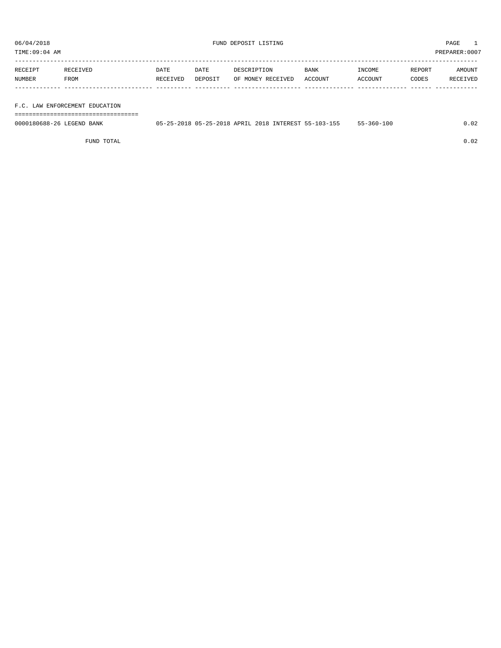TIME:09:04 AM PREPARER:0007

| RECEIPT | RECEIVED    | DATE     | DATE    | DESCRIPTION       | BANK    | INCOME         | REPORT | AMOUNT   |
|---------|-------------|----------|---------|-------------------|---------|----------------|--------|----------|
| NUMBER  | <b>FROM</b> | RECEIVED | DEPOSIT | OF MONEY RECEIVED | ACCOUNT | <b>ACCOUNT</b> | CODES  | RECEIVED |
|         |             |          |         |                   |         |                |        |          |

#### F.C. LAW ENFORCEMENT EDUCATION

===================================

| 0000180688-26 LEGEND<br>BANK | 05-25-2018 05-25-2018 APRIL 2018 1 | INTEREST 55-103-155 | $-360 - 100$ | . 02 |
|------------------------------|------------------------------------|---------------------|--------------|------|
|                              |                                    |                     |              |      |

FUND TOTAL 0.02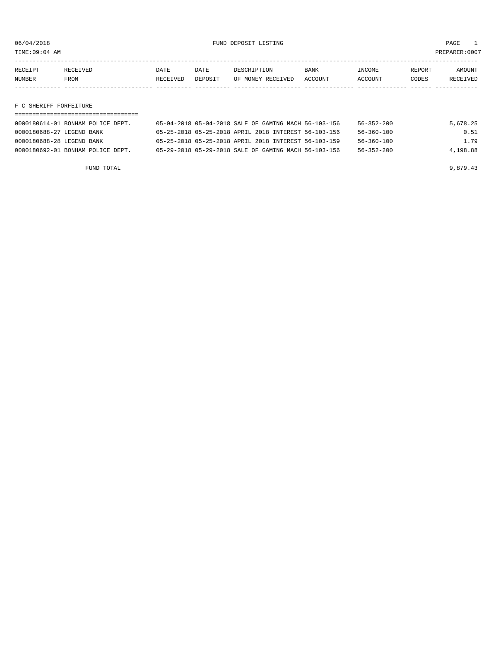TIME:09:04 AM PREPARER:0007

| RECEIPT       | RECEIVED    | DATE     | <b>DATE</b> | DESCRIPTION       | <b>BANK</b> | <b>TNCOME</b>  | REPORT | AMOUNT          |
|---------------|-------------|----------|-------------|-------------------|-------------|----------------|--------|-----------------|
| <b>NUMBER</b> | <b>FROM</b> | RECEIVED | DEPOSIT     | OF MONEY RECEIVED | ACCOUNT     | <b>ACCOUNT</b> | CODES  | <b>RECEIVED</b> |
|               |             |          |             |                   |             |                |        |                 |

#### F C SHERIFF FORFEITURE

| 0000180614-01 BONHAM POLICE DEPT. | 05-04-2018 05-04-2018 SALE OF GAMING MACH 56-103-156 |  | 56-352-200       | 5,678.25 |
|-----------------------------------|------------------------------------------------------|--|------------------|----------|
| 0000180688-27 LEGEND BANK         | 05-25-2018 05-25-2018 APRIL 2018 INTEREST 56-103-156 |  | 56-360-100       | 0.51     |
| 0000180688-28 LEGEND BANK         | 05-25-2018 05-25-2018 APRIL 2018 INTEREST 56-103-159 |  | $56 - 360 - 100$ | 1.79     |
| 0000180692-01 BONHAM POLICE DEPT. | 05-29-2018 05-29-2018 SALE OF GAMING MACH 56-103-156 |  | $56 - 352 - 200$ | 4,198.88 |

FUND TOTAL 9,879.43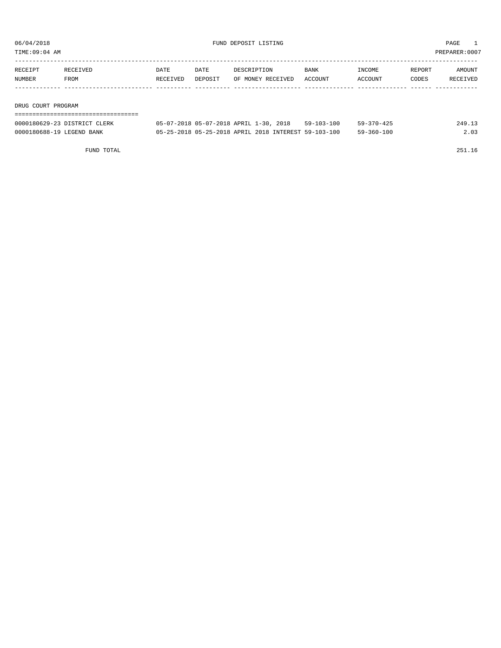TIME:09:04 AM PREPARER:0007

| RECEIPT | RECEIVED | DATE     | DATE    | DESCRIPTION       | <b>BANK</b> | INCOME  | REPORT | AMOUNT   |
|---------|----------|----------|---------|-------------------|-------------|---------|--------|----------|
| NUMBER  | FROM     | RECEIVED | DEPOSIT | OF MONEY RECEIVED | ACCOUNT     | ACCOUNT | CODES  | RECEIVED |
|         |          |          |         |                   |             |         |        |          |
|         |          |          |         |                   |             |         |        |          |

DRUG COURT PROGRAM

| -------------------------    |                                                      |            |                  |        |
|------------------------------|------------------------------------------------------|------------|------------------|--------|
| 0000180629-23 DISTRICT CLERK | 05-07-2018 05-07-2018 APRIL 1-30, 2018               | 59-103-100 | $59 - 370 - 425$ | 249.13 |
| 0000180688-19 LEGEND BANK    | 05-25-2018 05-25-2018 APRIL 2018 INTEREST 59-103-100 |            | 59-360-100       | 2.03   |

FUND TOTAL 251.16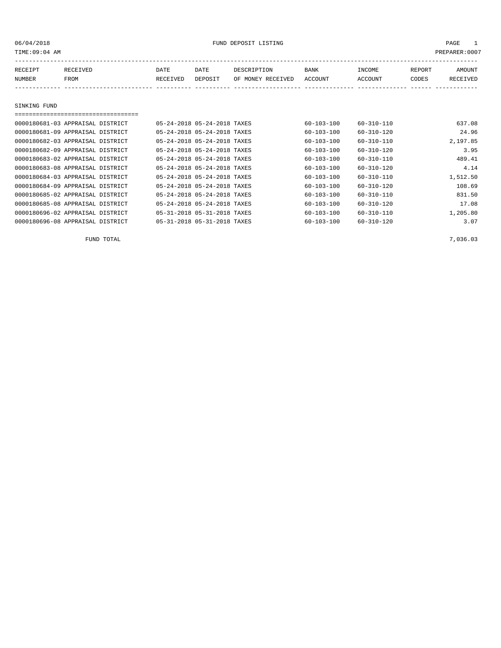| TIME:09:04 AM |                                     |          |                             |                   |                  |                  |        | PREPARER: 0007 |
|---------------|-------------------------------------|----------|-----------------------------|-------------------|------------------|------------------|--------|----------------|
|               |                                     |          |                             |                   |                  |                  |        |                |
| RECEIPT       | RECEIVED                            | DATE     | DATE                        | DESCRIPTION       | BANK             | INCOME           | REPORT | AMOUNT         |
| NUMBER        | FROM                                | RECEIVED | DEPOSIT                     | OF MONEY RECEIVED | ACCOUNT          | ACCOUNT          | CODES  | RECEIVED       |
|               |                                     |          |                             |                   |                  |                  |        |                |
|               |                                     |          |                             |                   |                  |                  |        |                |
| SINKING FUND  |                                     |          |                             |                   |                  |                  |        |                |
|               | =================================== |          |                             |                   |                  |                  |        |                |
|               | 0000180681-03 APPRAISAL DISTRICT    |          | 05-24-2018 05-24-2018 TAXES |                   | $60 - 103 - 100$ | $60 - 310 - 110$ |        | 637.08         |
|               | 0000180681-09 APPRAISAL DISTRICT    |          | 05-24-2018 05-24-2018 TAXES |                   | 60-103-100       | 60-310-120       |        | 24.96          |
|               | 0000180682-03 APPRAISAL DISTRICT    |          | 05-24-2018 05-24-2018 TAXES |                   | $60 - 103 - 100$ | $60 - 310 - 110$ |        | 2,197.85       |

| -------  |                  |                  |                             |  | VVVVIVVVVI VY IILINIILIII DIUINIV. |  |
|----------|------------------|------------------|-----------------------------|--|------------------------------------|--|
| 3.95     | $60 - 310 - 120$ | $60 - 103 - 100$ | 05-24-2018 05-24-2018 TAXES |  | 0000180682-09 APPRAISAL DISTRICT   |  |
| 489.41   | $60 - 310 - 110$ | $60 - 103 - 100$ | 05-24-2018 05-24-2018 TAXES |  | 0000180683-02 APPRAISAL DISTRICT   |  |
| 4.14     | $60 - 310 - 120$ | $60 - 103 - 100$ | 05-24-2018 05-24-2018 TAXES |  | 0000180683-08 APPRAISAL DISTRICT   |  |
| 1,512.50 | 60-310-110       | $60 - 103 - 100$ | 05-24-2018 05-24-2018 TAXES |  | 0000180684-03 APPRAISAL DISTRICT   |  |
| 108.69   | $60 - 310 - 120$ | $60 - 103 - 100$ | 05-24-2018 05-24-2018 TAXES |  | 0000180684-09 APPRAISAL DISTRICT   |  |
| 831.50   | $60 - 310 - 110$ | $60 - 103 - 100$ | 05-24-2018 05-24-2018 TAXES |  | 0000180685-02 APPRAISAL DISTRICT   |  |
| 17.08    | $60 - 310 - 120$ | $60 - 103 - 100$ | 05-24-2018 05-24-2018 TAXES |  | 0000180685-08 APPRAISAL DISTRICT   |  |
| 1,205.80 | $60 - 310 - 110$ | $60 - 103 - 100$ | 05-31-2018 05-31-2018 TAXES |  | 0000180696-02 APPRAISAL DISTRICT   |  |
| 3.07     | $60 - 310 - 120$ | $60 - 103 - 100$ | 05-31-2018 05-31-2018 TAXES |  | 0000180696-08 APPRAISAL DISTRICT   |  |

FUND TOTAL  $7,036.03$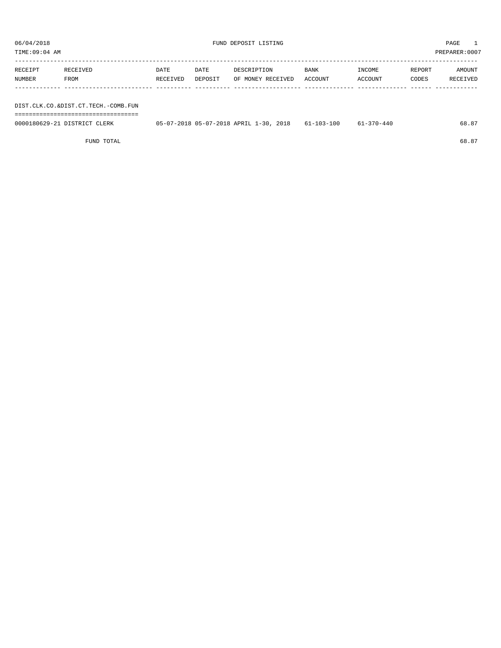TIME:09:04 AM PREPARER:0007

| RECEIPT | RECEIVED | DATE     | DATE    | DESCRIPTION       | BANK    | INCOME  | REPORT | AMOUNT   |
|---------|----------|----------|---------|-------------------|---------|---------|--------|----------|
| NUMBER  | FROM     | RECEIVED | DEPOSIT | OF MONEY RECEIVED | ACCOUNT | ACCOUNT | CODES  | RECEIVED |
|         |          |          |         |                   |         |         |        |          |
|         |          |          |         |                   |         |         |        |          |

DIST.CLK.CO.&DIST.CT.TECH.-COMB.FUN ===================================

| 0000180629-21 DISTRICT<br>CLERK | 05-07-2018 05-07-2018 APRIL 1-30.<br>2018 | -103-100-<br>$61 - 10.5$ | -370-440 | 68.5. |
|---------------------------------|-------------------------------------------|--------------------------|----------|-------|
|                                 |                                           |                          |          |       |

FUND TOTAL 68.87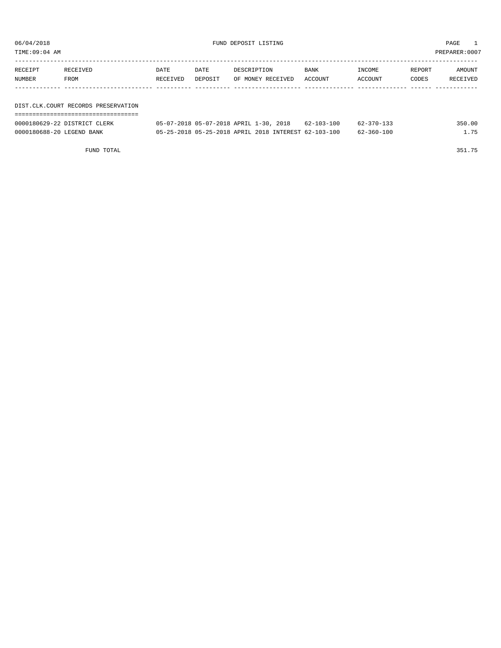| TIME:09:04 AM |                                     |          |         |                   |                |         |        | PREPARER:0007 |
|---------------|-------------------------------------|----------|---------|-------------------|----------------|---------|--------|---------------|
| RECEIPT       | RECEIVED                            | DATE     | DATE    | DESCRIPTION       | INCOME<br>BANK |         | REPORT | AMOUNT        |
| NUMBER        | FROM                                | RECEIVED | DEPOSIT | OF MONEY RECEIVED | ACCOUNT        | ACCOUNT | CODES  | RECEIVED      |
|               |                                     |          |         |                   |                |         |        |               |
|               |                                     |          |         |                   |                |         |        |               |
|               | DIST.CLK.COURT RECORDS PRESERVATION |          |         |                   |                |         |        |               |
|               |                                     |          |         |                   |                |         |        |               |

| 0000180629-22 DISTRICT CLERK | 05-07-2018 05-07-2018 APRIL 1-30, 2018 62-103-100    |  | 62-370-133 | 350.00 |
|------------------------------|------------------------------------------------------|--|------------|--------|
| 0000180688-20 LEGEND BANK    | 05-25-2018 05-25-2018 APRIL 2018 INTEREST 62-103-100 |  | 62-360-100 | 175    |

FUND TOTAL 351.75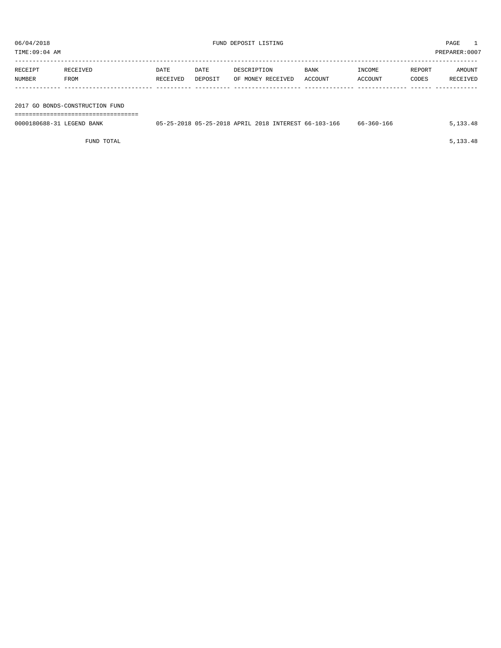| TIME:09:04 AM             | PREPARER:0007                   |                  |                 |                                                      |                        |                   |                 |                    |  |  |  |  |
|---------------------------|---------------------------------|------------------|-----------------|------------------------------------------------------|------------------------|-------------------|-----------------|--------------------|--|--|--|--|
| RECEIPT<br>NUMBER         | RECEIVED<br>FROM                | DATE<br>RECEIVED | DATE<br>DEPOSIT | DESCRIPTION<br>OF MONEY RECEIVED                     | <b>BANK</b><br>ACCOUNT | INCOME<br>ACCOUNT | REPORT<br>CODES | AMOUNT<br>RECEIVED |  |  |  |  |
|                           |                                 |                  |                 |                                                      |                        |                   |                 |                    |  |  |  |  |
|                           | 2017 GO BONDS-CONSTRUCTION FUND |                  |                 |                                                      |                        |                   |                 |                    |  |  |  |  |
|                           |                                 |                  |                 |                                                      |                        |                   |                 |                    |  |  |  |  |
| 0000180688-31 LEGEND BANK |                                 |                  |                 | 05-25-2018 05-25-2018 APRIL 2018 INTEREST 66-103-166 |                        | 66-360-166        |                 | 5, 133, 48         |  |  |  |  |

FUND TOTAL  $5,133.48$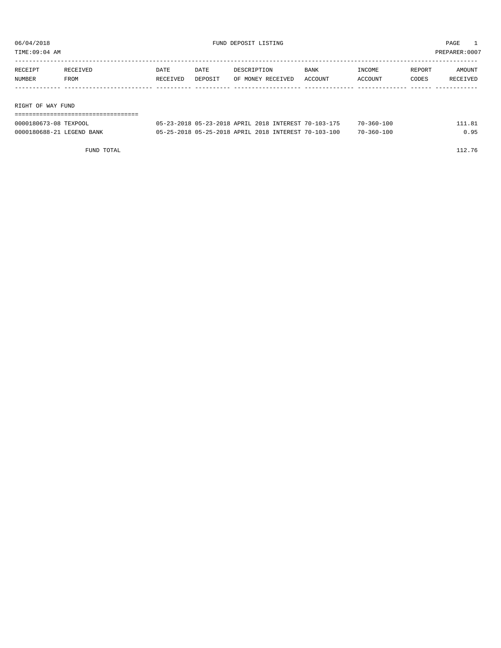TIME:09:04 AM PREPARER:0007

| RECEIPT | RECEIVED | DATE     | DATE    | DESCRIPTION       | <b>BANK</b> | INCOME  | REPORT | AMOUNT   |
|---------|----------|----------|---------|-------------------|-------------|---------|--------|----------|
| NUMBER  | FROM     | RECEIVED | DEPOSIT | OF MONEY RECEIVED | ACCOUNT     | ACCOUNT | CODES  | RECEIVED |
|         |          |          |         |                   |             |         |        |          |
|         |          |          |         |                   |             |         |        |          |

RIGHT OF WAY FUND

| ------------------------------------ |  |  |                                                      |                  |        |
|--------------------------------------|--|--|------------------------------------------------------|------------------|--------|
| 0000180673-08 TEXPOOL                |  |  | 05-23-2018 05-23-2018 APRIL 2018 INTEREST 70-103-175 | $70 - 360 - 100$ | 111.81 |
| 0000180688-21 LEGEND BANK            |  |  | 05-25-2018 05-25-2018 APRIL 2018 INTEREST 70-103-100 | $70 - 360 - 100$ | 0.95   |

FUND TOTAL 112.76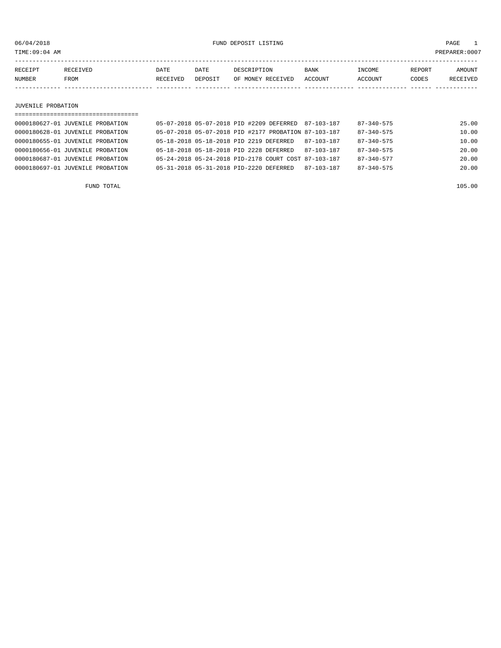TIME:09:04 AM PREPARER:0007

| RECEIPT | <b>RECEIVED</b> | DATE     | DATE           | DESCRIPTION          | BANK    | <b>INCOME</b>  | REPORT | AMOUNT          |
|---------|-----------------|----------|----------------|----------------------|---------|----------------|--------|-----------------|
| NUMBER  | FROM            | RECEIVED | <b>DEPOSIT</b> | RECEIVED<br>OF MONEY | ACCOUNT | <b>ACCOUNT</b> | CODES  | <b>RECEIVED</b> |
|         |                 |          |                |                      |         |                |        |                 |

#### JUVENILE PROBATION

| ==================================== |                                         |  |                                                      |            |                  |       |
|--------------------------------------|-----------------------------------------|--|------------------------------------------------------|------------|------------------|-------|
| 0000180627-01 JUVENILE PROBATION     |                                         |  | 05-07-2018 05-07-2018 PID #2209 DEFERRED 87-103-187  |            | 87-340-575       | 25.00 |
| 0000180628-01 JUVENILE PROBATION     |                                         |  | 05-07-2018 05-07-2018 PID #2177 PROBATION 87-103-187 |            | $87 - 340 - 575$ | 10.00 |
| 0000180655-01 JUVENILE PROBATION     | 05-18-2018 05-18-2018 PID 2219 DEFERRED |  |                                                      | 87-103-187 | $87 - 340 - 575$ | 10.00 |
| 0000180656-01 JUVENILE PROBATION     | 05-18-2018 05-18-2018 PID 2228 DEFERRED |  |                                                      | 87-103-187 | $87 - 340 - 575$ | 20.00 |
| 0000180687-01 JUVENILE PROBATION     |                                         |  | 05-24-2018 05-24-2018 PID-2178 COURT COST 87-103-187 |            | $87 - 340 - 577$ | 20.00 |
| 0000180697-01 JUVENILE PROBATION     | 05-31-2018 05-31-2018 PID-2220 DEFERRED |  |                                                      | 87-103-187 | $87 - 340 - 575$ | 20.00 |
|                                      |                                         |  |                                                      |            |                  |       |

FUND TOTAL 105.00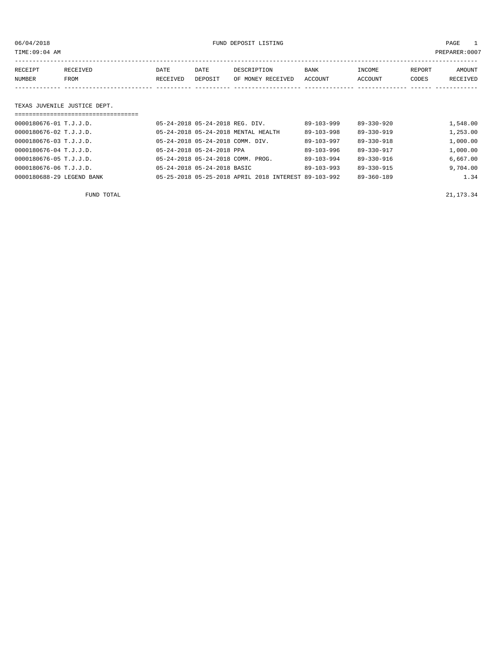06/04/2018 FUND DEPOSIT LISTING PAGE 1

| RECEIPT | <b>RECEIVED</b> | DATE     | DATE    | DESCRIPTION       | <b>BANK</b> | INCOME  | REPORT | AMOUNT   |
|---------|-----------------|----------|---------|-------------------|-------------|---------|--------|----------|
| NUMBER  | FROM            | RECEIVED | DEPOSIT | OF MONEY RECEIVED | ACCOUNT     | ACCOUNT | CODES  | RECEIVED |
|         |                 |          |         |                   |             |         |        |          |

#### TEXAS JUVENILE JUSTICE DEPT.

| ===================================== |                                                      |  |                  |                  |          |
|---------------------------------------|------------------------------------------------------|--|------------------|------------------|----------|
| 0000180676-01 T.J.J.D.                | 05-24-2018 05-24-2018 REG. DIV.                      |  | 89-103-999       | $89 - 330 - 920$ | 1,548.00 |
| 0000180676-02 T.J.J.D.                | 05-24-2018 05-24-2018 MENTAL HEALTH                  |  | $89 - 103 - 998$ | $89 - 330 - 919$ | 1,253.00 |
| 0000180676-03 T.J.J.D.                | 05-24-2018 05-24-2018 COMM. DIV.                     |  | $89 - 103 - 997$ | $89 - 330 - 918$ | 1,000.00 |
| 0000180676-04 T.J.J.D.                | 05-24-2018 05-24-2018 PPA                            |  | $89 - 103 - 996$ | 89-330-917       | 1,000.00 |
| 0000180676-05 T.J.J.D.                | 05-24-2018 05-24-2018 COMM. PROG.                    |  | 89-103-994       | 89-330-916       | 6,667.00 |
| 0000180676-06 T.J.J.D.                | 05-24-2018 05-24-2018 BASIC                          |  | $89 - 103 - 993$ | 89-330-915       | 9,704.00 |
| 0000180688-29 LEGEND BANK             | 05-25-2018 05-25-2018 APRIL 2018 INTEREST 89-103-992 |  |                  | $89 - 360 - 189$ | 1.34     |

FUND TOTAL 21,173.34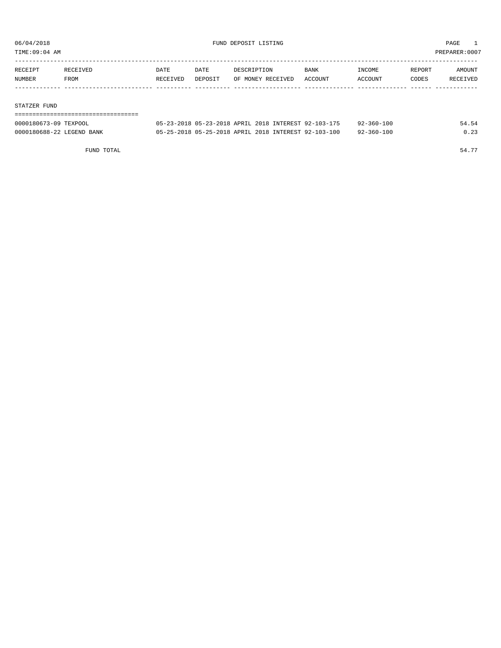TIME:09:04 AM PREPARER:0007

| RECEIPT | RECEIVED | DATE     | DATE    | DESCRIPTION       | <b>BANK</b> | INCOME  | REPORT | AMOUNT   |
|---------|----------|----------|---------|-------------------|-------------|---------|--------|----------|
| NUMBER  | FROM     | RECEIVED | DEPOSIT | OF MONEY RECEIVED | ACCOUNT     | ACCOUNT | CODES  | RECEIVED |
|         |          |          |         |                   |             |         |        |          |

#### STATZER FUND

=================================== 0000180673-09 TEXPOOL 05-23-2018 05-23-2018 APRIL 2018 INTEREST 92-103-175 92-360-100 54.54

0000180688-22 LEGEND BANK 05-25-2018 05-25-2018 APRIL 2018 INTEREST 92-103-100 92-360-100 0.23

FUND TOTAL  $54.77$